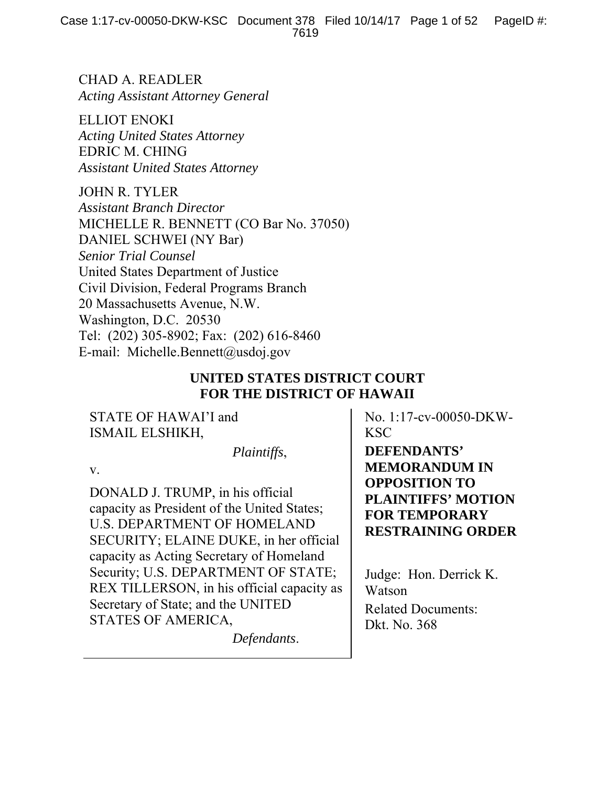CHAD A. READLER *Acting Assistant Attorney General* 

ELLIOT ENOKI *Acting United States Attorney*  EDRIC M. CHING *Assistant United States Attorney* 

JOHN R. TYLER *Assistant Branch Director*  MICHELLE R. BENNETT (CO Bar No. 37050) DANIEL SCHWEI (NY Bar) *Senior Trial Counsel*  United States Department of Justice Civil Division, Federal Programs Branch 20 Massachusetts Avenue, N.W. Washington, D.C. 20530 Tel: (202) 305-8902; Fax: (202) 616-8460 E-mail: Michelle.Bennett@usdoj.gov

## **UNITED STATES DISTRICT COURT FOR THE DISTRICT OF HAWAII**

STATE OF HAWAI'I and ISMAIL ELSHIKH,

 *Plaintiffs*,

v.

DONALD J. TRUMP, in his official capacity as President of the United States; U.S. DEPARTMENT OF HOMELAND SECURITY; ELAINE DUKE, in her official capacity as Acting Secretary of Homeland Security; U.S. DEPARTMENT OF STATE; REX TILLERSON, in his official capacity as Secretary of State; and the UNITED STATES OF AMERICA,

*Defendants*.

No. 1:17-cv-00050-DKW-KSC

**DEFENDANTS' MEMORANDUM IN OPPOSITION TO PLAINTIFFS' MOTION FOR TEMPORARY RESTRAINING ORDER** 

Judge: Hon. Derrick K. Watson Related Documents: Dkt. No. 368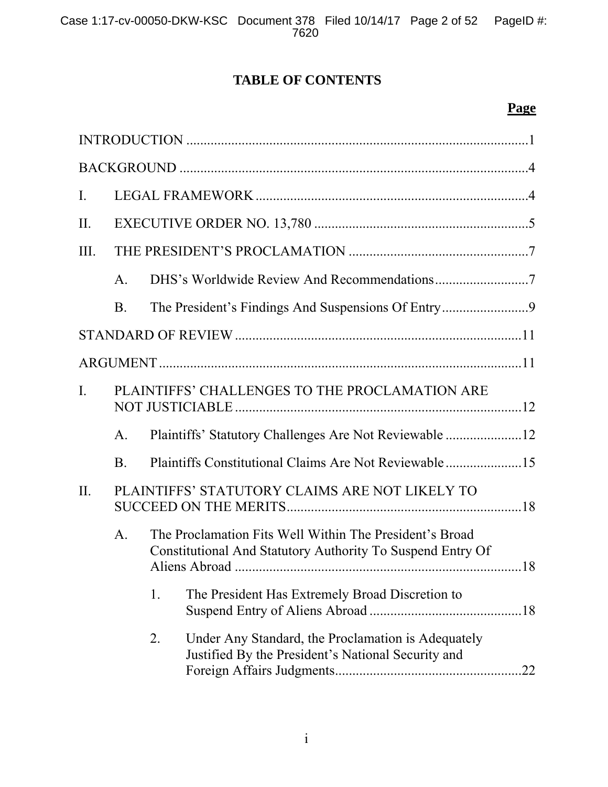# **TABLE OF CONTENTS**

# **Page**

| $\mathbf{I}$ . |                                                |                                                                                                                       |  |
|----------------|------------------------------------------------|-----------------------------------------------------------------------------------------------------------------------|--|
| II.            |                                                |                                                                                                                       |  |
| III.           |                                                |                                                                                                                       |  |
|                | $\mathsf{A}$ .                                 |                                                                                                                       |  |
|                | <b>B</b> .                                     |                                                                                                                       |  |
|                |                                                |                                                                                                                       |  |
|                |                                                |                                                                                                                       |  |
| $\mathbf{I}$ . | PLAINTIFFS' CHALLENGES TO THE PROCLAMATION ARE |                                                                                                                       |  |
|                | A.                                             |                                                                                                                       |  |
|                | B <sub>1</sub>                                 |                                                                                                                       |  |
| II.            | PLAINTIFFS' STATUTORY CLAIMS ARE NOT LIKELY TO |                                                                                                                       |  |
|                | $A_{\cdot}$                                    | The Proclamation Fits Well Within The President's Broad<br>Constitutional And Statutory Authority To Suspend Entry Of |  |
|                |                                                | 1.<br>The President Has Extremely Broad Discretion to                                                                 |  |
|                |                                                | Under Any Standard, the Proclamation is Adequately<br>2.<br>Justified By the President's National Security and        |  |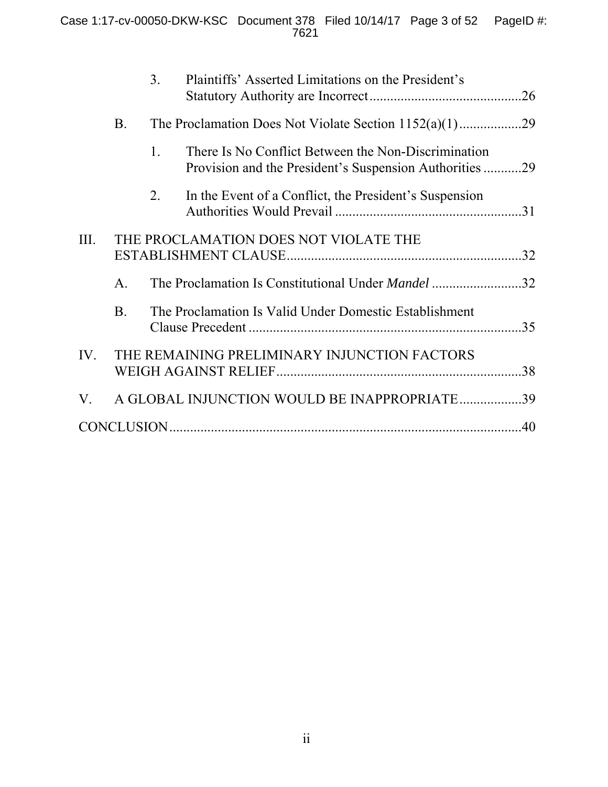|      |              | 3. | Plaintiffs' Asserted Limitations on the President's                                                            |     |
|------|--------------|----|----------------------------------------------------------------------------------------------------------------|-----|
|      | <b>B</b> .   |    |                                                                                                                |     |
|      |              | 1. | There Is No Conflict Between the Non-Discrimination<br>Provision and the President's Suspension Authorities 29 |     |
|      |              | 2. | In the Event of a Conflict, the President's Suspension                                                         |     |
| III. |              |    | THE PROCLAMATION DOES NOT VIOLATE THE                                                                          |     |
|      | A.           |    | The Proclamation Is Constitutional Under <i>Mandel</i> 32                                                      |     |
|      | $\mathbf{B}$ |    | The Proclamation Is Valid Under Domestic Establishment                                                         | 35  |
| IV.  |              |    | THE REMAINING PRELIMINARY INJUNCTION FACTORS                                                                   | .38 |
| V.   |              |    | A GLOBAL INJUNCTION WOULD BE INAPPROPRIATE 39                                                                  |     |
|      |              |    |                                                                                                                |     |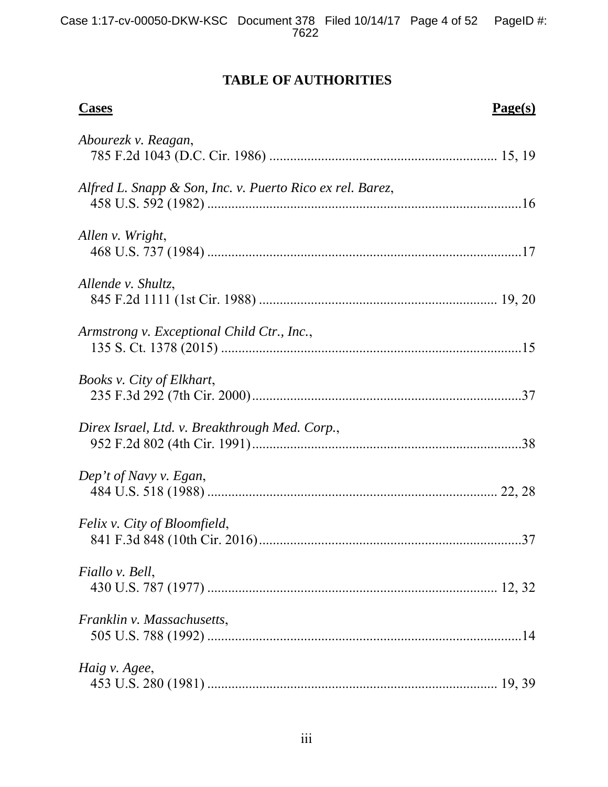# **TABLE OF AUTHORITIES**

| <b>Cases</b>                                              | Page(s) |
|-----------------------------------------------------------|---------|
| Abourezk v. Reagan,                                       |         |
| Alfred L. Snapp & Son, Inc. v. Puerto Rico ex rel. Barez, |         |
| Allen v. Wright,                                          |         |
| Allende v. Shultz,                                        |         |
| Armstrong v. Exceptional Child Ctr., Inc.,                |         |
| Books v. City of Elkhart,                                 |         |
| Direx Israel, Ltd. v. Breakthrough Med. Corp.,            |         |
| Dep't of Navy v. Egan,                                    |         |
| Felix v. City of Bloomfield,                              | 37      |
| Fiallo v. Bell,                                           |         |
| Franklin v. Massachusetts,                                |         |
| Haig v. Agee,                                             |         |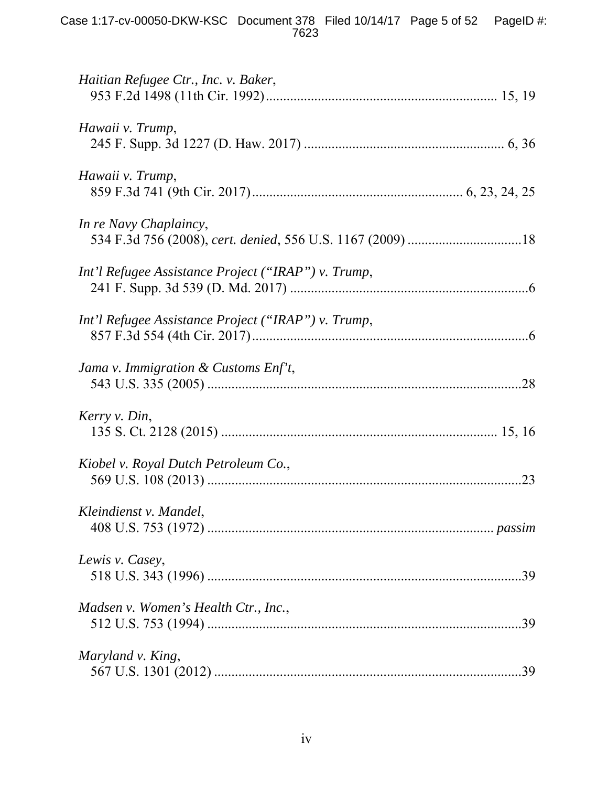| Haitian Refugee Ctr., Inc. v. Baker,                |
|-----------------------------------------------------|
| Hawaii v. Trump,                                    |
| Hawaii v. Trump,                                    |
| In re Navy Chaplaincy,                              |
| Int'l Refugee Assistance Project ("IRAP") v. Trump, |
| Int'l Refugee Assistance Project ("IRAP") v. Trump, |
| Jama v. Immigration & Customs Enf't,                |
| Kerry v. Din,                                       |
| Kiobel v. Royal Dutch Petroleum Co.,<br>.23         |
| Kleindienst v. Mandel,                              |
| Lewis v. Casey,                                     |
| Madsen v. Women's Health Ctr., Inc.,<br>.39         |
| Maryland v. King,<br>.39                            |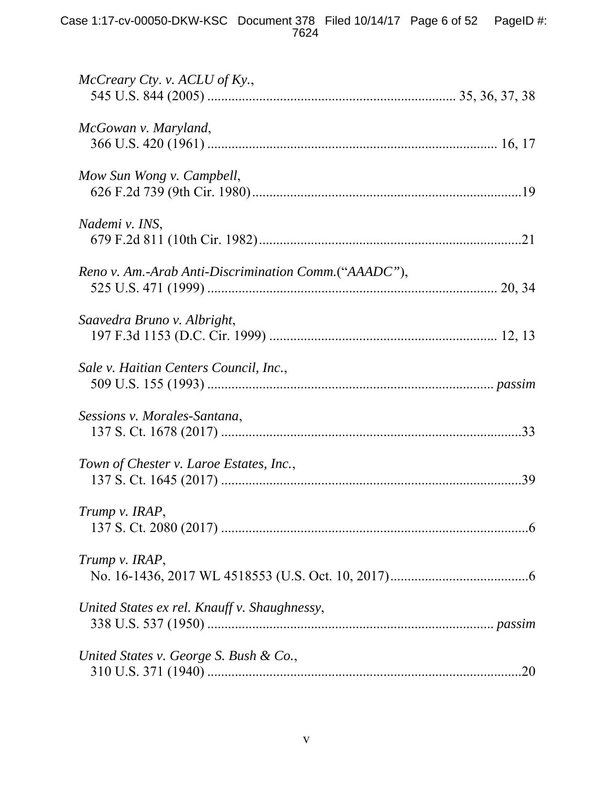| $McCreary\;Cty.$ v. $ACLU$ of Ky.,                   |  |
|------------------------------------------------------|--|
| McGowan v. Maryland,                                 |  |
| Mow Sun Wong v. Campbell,                            |  |
| Nademi v. INS,                                       |  |
| Reno v. Am.-Arab Anti-Discrimination Comm.("AAADC"), |  |
| Saavedra Bruno v. Albright,                          |  |
| Sale v. Haitian Centers Council, Inc.,               |  |
| Sessions v. Morales-Santana,                         |  |
| Town of Chester v. Laroe Estates, Inc.,              |  |
| Trump v. IRAP,                                       |  |
| Trump v. IRAP,                                       |  |
| United States ex rel. Knauff v. Shaughnessy,         |  |
| United States v. George S. Bush & Co.,               |  |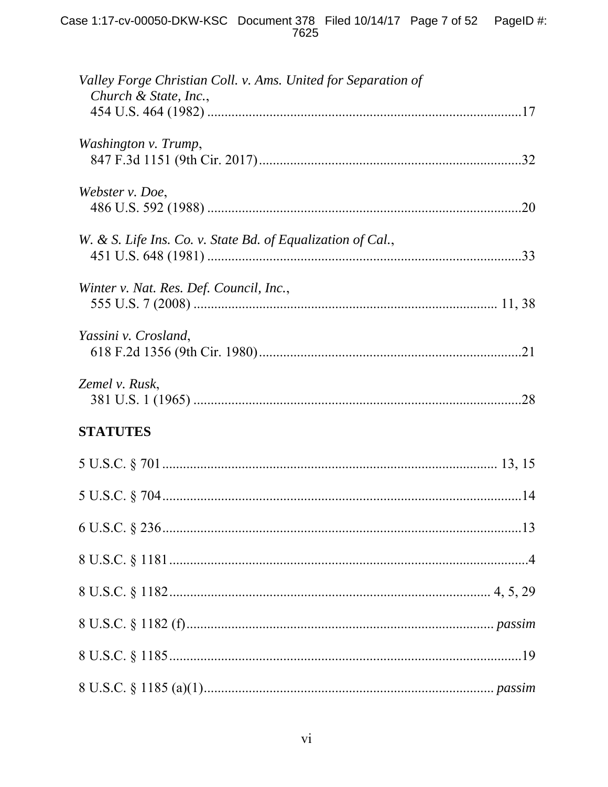| Valley Forge Christian Coll. v. Ams. United for Separation of<br>Church & State, Inc., |  |
|----------------------------------------------------------------------------------------|--|
| Washington v. Trump,                                                                   |  |
| Webster v. Doe,                                                                        |  |
| W. & S. Life Ins. Co. v. State Bd. of Equalization of Cal.,                            |  |
| Winter v. Nat. Res. Def. Council, Inc.,                                                |  |
| Yassini v. Crosland,                                                                   |  |
| Zemel v. Rusk,                                                                         |  |
| <b>STATUTES</b>                                                                        |  |
|                                                                                        |  |
|                                                                                        |  |
|                                                                                        |  |
|                                                                                        |  |
|                                                                                        |  |
|                                                                                        |  |
|                                                                                        |  |
|                                                                                        |  |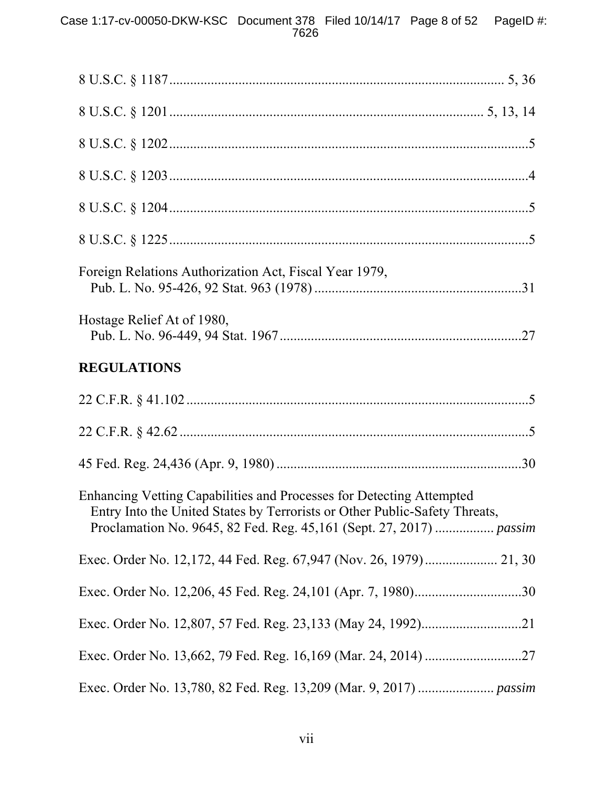| Foreign Relations Authorization Act, Fiscal Year 1979,                                                                                                                                                                    |
|---------------------------------------------------------------------------------------------------------------------------------------------------------------------------------------------------------------------------|
| Hostage Relief At of 1980,                                                                                                                                                                                                |
| <b>REGULATIONS</b>                                                                                                                                                                                                        |
|                                                                                                                                                                                                                           |
|                                                                                                                                                                                                                           |
|                                                                                                                                                                                                                           |
| Enhancing Vetting Capabilities and Processes for Detecting Attempted<br>Entry Into the United States by Terrorists or Other Public-Safety Threats,<br>Proclamation No. 9645, 82 Fed. Reg. 45,161 (Sept. 27, 2017)  passim |
|                                                                                                                                                                                                                           |
|                                                                                                                                                                                                                           |
|                                                                                                                                                                                                                           |
|                                                                                                                                                                                                                           |
|                                                                                                                                                                                                                           |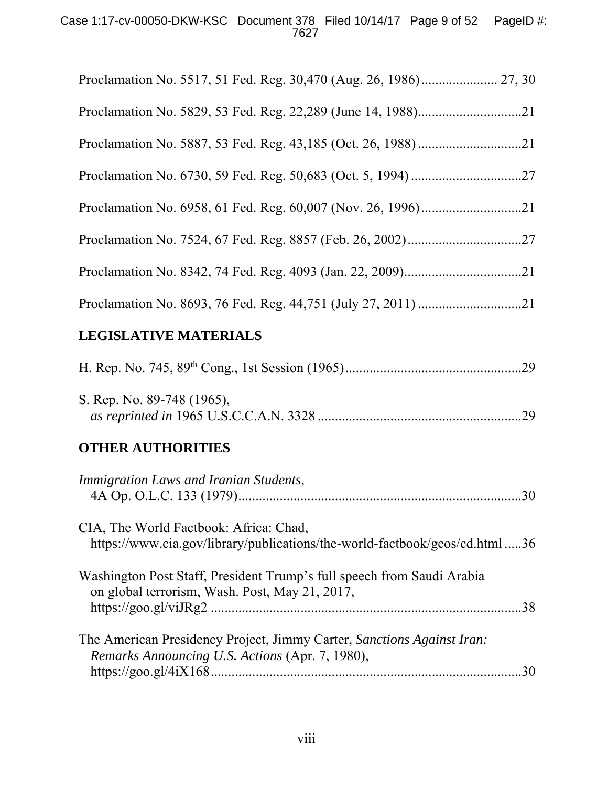## Case 1:17-cv-00050-DKW-KSC Document 378 Filed 10/14/17 Page 9 of 52 PageID #: 7627

| .21 |
|-----|

# **LEGISLATIVE MATERIALS**

| S. Rep. No. 89-748 (1965), |  |
|----------------------------|--|
|                            |  |

# **OTHER AUTHORITIES**

| Immigration Laws and Iranian Students,                                                                                    | .30 |
|---------------------------------------------------------------------------------------------------------------------------|-----|
| CIA, The World Factbook: Africa: Chad,<br>https://www.cia.gov/library/publications/the-world-factbook/geos/cd.html 36     |     |
| Washington Post Staff, President Trump's full speech from Saudi Arabia<br>on global terrorism, Wash. Post, May 21, 2017,  | .38 |
| The American Presidency Project, Jimmy Carter, Sanctions Against Iran:<br>Remarks Announcing U.S. Actions (Apr. 7, 1980), | 30  |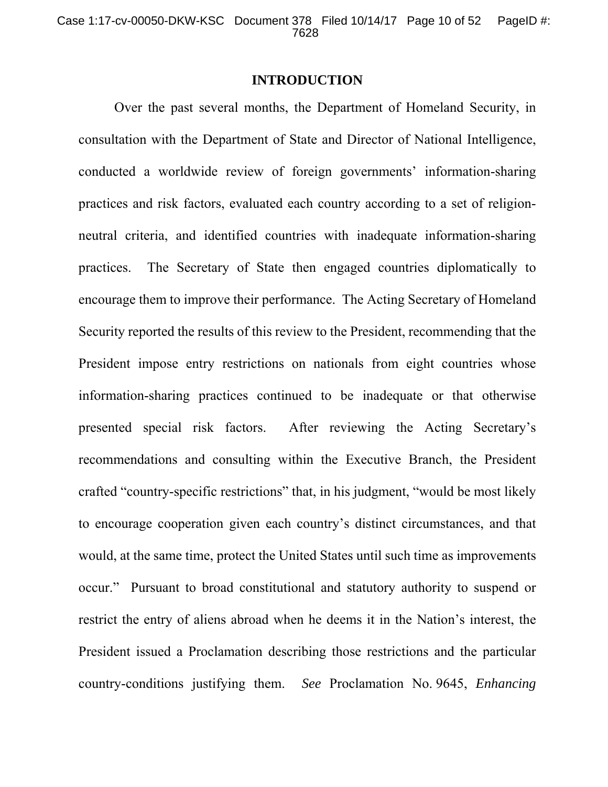### **INTRODUCTION**

Over the past several months, the Department of Homeland Security, in consultation with the Department of State and Director of National Intelligence, conducted a worldwide review of foreign governments' information-sharing practices and risk factors, evaluated each country according to a set of religionneutral criteria, and identified countries with inadequate information-sharing practices. The Secretary of State then engaged countries diplomatically to encourage them to improve their performance. The Acting Secretary of Homeland Security reported the results of this review to the President, recommending that the President impose entry restrictions on nationals from eight countries whose information-sharing practices continued to be inadequate or that otherwise presented special risk factors. After reviewing the Acting Secretary's recommendations and consulting within the Executive Branch, the President crafted "country-specific restrictions" that, in his judgment, "would be most likely to encourage cooperation given each country's distinct circumstances, and that would, at the same time, protect the United States until such time as improvements occur." Pursuant to broad constitutional and statutory authority to suspend or restrict the entry of aliens abroad when he deems it in the Nation's interest, the President issued a Proclamation describing those restrictions and the particular country-conditions justifying them. *See* Proclamation No. 9645, *Enhancing*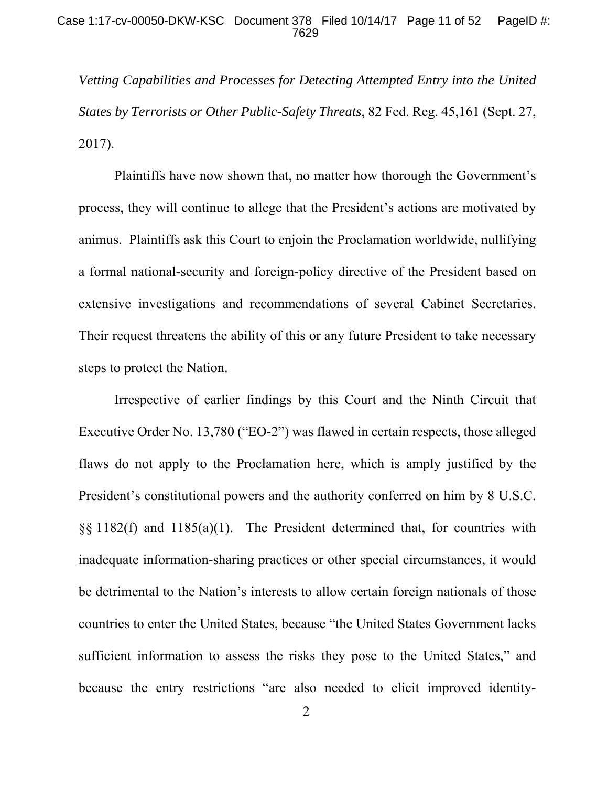*Vetting Capabilities and Processes for Detecting Attempted Entry into the United States by Terrorists or Other Public-Safety Threats*, 82 Fed. Reg. 45,161 (Sept. 27, 2017).

Plaintiffs have now shown that, no matter how thorough the Government's process, they will continue to allege that the President's actions are motivated by animus. Plaintiffs ask this Court to enjoin the Proclamation worldwide, nullifying a formal national-security and foreign-policy directive of the President based on extensive investigations and recommendations of several Cabinet Secretaries. Their request threatens the ability of this or any future President to take necessary steps to protect the Nation.

Irrespective of earlier findings by this Court and the Ninth Circuit that Executive Order No. 13,780 ("EO-2") was flawed in certain respects, those alleged flaws do not apply to the Proclamation here, which is amply justified by the President's constitutional powers and the authority conferred on him by 8 U.S.C. §§ 1182(f) and 1185(a)(1). The President determined that, for countries with inadequate information-sharing practices or other special circumstances, it would be detrimental to the Nation's interests to allow certain foreign nationals of those countries to enter the United States, because "the United States Government lacks sufficient information to assess the risks they pose to the United States," and because the entry restrictions "are also needed to elicit improved identity-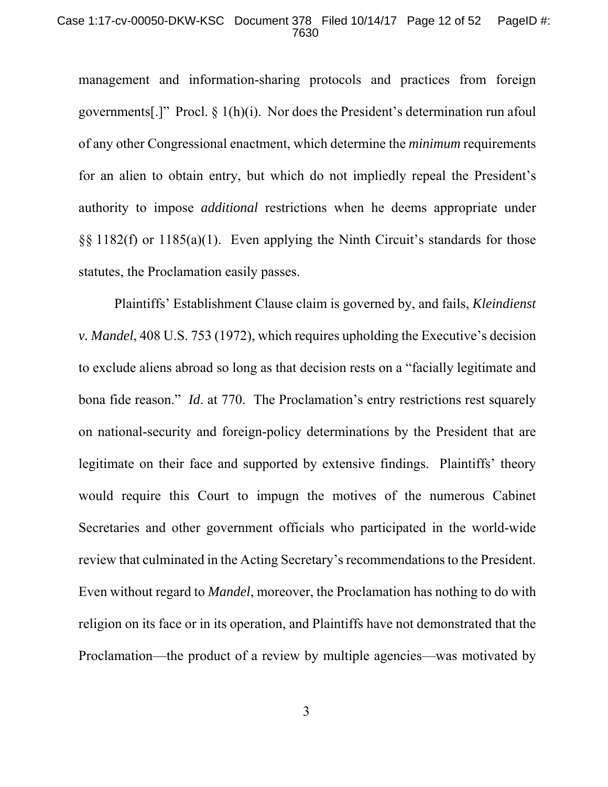### Case 1:17-cv-00050-DKW-KSC Document 378 Filed 10/14/17 Page 12 of 52 PageID #: 7630

management and information-sharing protocols and practices from foreign governments[.]" Procl. § 1(h)(i). Nor does the President's determination run afoul of any other Congressional enactment, which determine the *minimum* requirements for an alien to obtain entry, but which do not impliedly repeal the President's authority to impose *additional* restrictions when he deems appropriate under  $\S$ § 1182(f) or 1185(a)(1). Even applying the Ninth Circuit's standards for those statutes, the Proclamation easily passes.

Plaintiffs' Establishment Clause claim is governed by, and fails, *Kleindienst v. Mandel*, 408 U.S. 753 (1972), which requires upholding the Executive's decision to exclude aliens abroad so long as that decision rests on a "facially legitimate and bona fide reason." *Id*. at 770. The Proclamation's entry restrictions rest squarely on national-security and foreign-policy determinations by the President that are legitimate on their face and supported by extensive findings. Plaintiffs' theory would require this Court to impugn the motives of the numerous Cabinet Secretaries and other government officials who participated in the world-wide review that culminated in the Acting Secretary's recommendations to the President. Even without regard to *Mandel*, moreover, the Proclamation has nothing to do with religion on its face or in its operation, and Plaintiffs have not demonstrated that the Proclamation—the product of a review by multiple agencies—was motivated by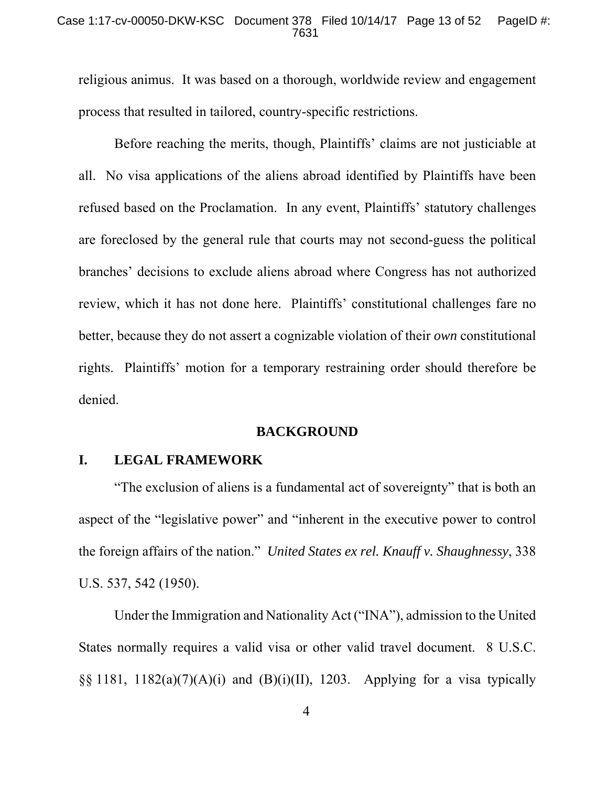#### Case 1:17-cv-00050-DKW-KSC Document 378 Filed 10/14/17 Page 13 of 52 PageID #: 7631

religious animus. It was based on a thorough, worldwide review and engagement process that resulted in tailored, country-specific restrictions.

Before reaching the merits, though, Plaintiffs' claims are not justiciable at all. No visa applications of the aliens abroad identified by Plaintiffs have been refused based on the Proclamation. In any event, Plaintiffs' statutory challenges are foreclosed by the general rule that courts may not second-guess the political branches' decisions to exclude aliens abroad where Congress has not authorized review, which it has not done here. Plaintiffs' constitutional challenges fare no better, because they do not assert a cognizable violation of their *own* constitutional rights. Plaintiffs' motion for a temporary restraining order should therefore be denied.

### **BACKGROUND**

## **I. LEGAL FRAMEWORK**

"The exclusion of aliens is a fundamental act of sovereignty" that is both an aspect of the "legislative power" and "inherent in the executive power to control the foreign affairs of the nation." *United States ex rel. Knauff v. Shaughnessy*, 338 U.S. 537, 542 (1950).

Under the Immigration and Nationality Act ("INA"), admission to the United States normally requires a valid visa or other valid travel document. 8 U.S.C. §§ 1181, 1182(a)(7)(A)(i) and (B)(i)(II), 1203. Applying for a visa typically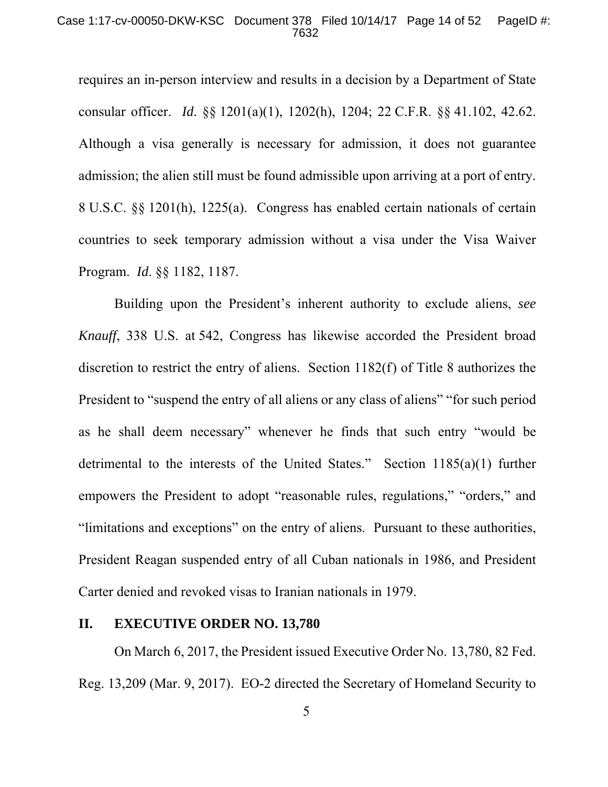### Case 1:17-cv-00050-DKW-KSC Document 378 Filed 10/14/17 Page 14 of 52 PageID #: 7632

requires an in-person interview and results in a decision by a Department of State consular officer. *Id*. §§ 1201(a)(1), 1202(h), 1204; 22 C.F.R. §§ 41.102, 42.62. Although a visa generally is necessary for admission, it does not guarantee admission; the alien still must be found admissible upon arriving at a port of entry. 8 U.S.C. §§ 1201(h), 1225(a). Congress has enabled certain nationals of certain countries to seek temporary admission without a visa under the Visa Waiver Program. *Id*. §§ 1182, 1187.

Building upon the President's inherent authority to exclude aliens, *see Knauff*, 338 U.S. at 542, Congress has likewise accorded the President broad discretion to restrict the entry of aliens. Section 1182(f) of Title 8 authorizes the President to "suspend the entry of all aliens or any class of aliens" "for such period as he shall deem necessary" whenever he finds that such entry "would be detrimental to the interests of the United States." Section 1185(a)(1) further empowers the President to adopt "reasonable rules, regulations," "orders," and "limitations and exceptions" on the entry of aliens. Pursuant to these authorities, President Reagan suspended entry of all Cuban nationals in 1986, and President Carter denied and revoked visas to Iranian nationals in 1979.

### **II. EXECUTIVE ORDER NO. 13,780**

On March 6, 2017, the President issued Executive Order No. 13,780, 82 Fed. Reg. 13,209 (Mar. 9, 2017). EO-2 directed the Secretary of Homeland Security to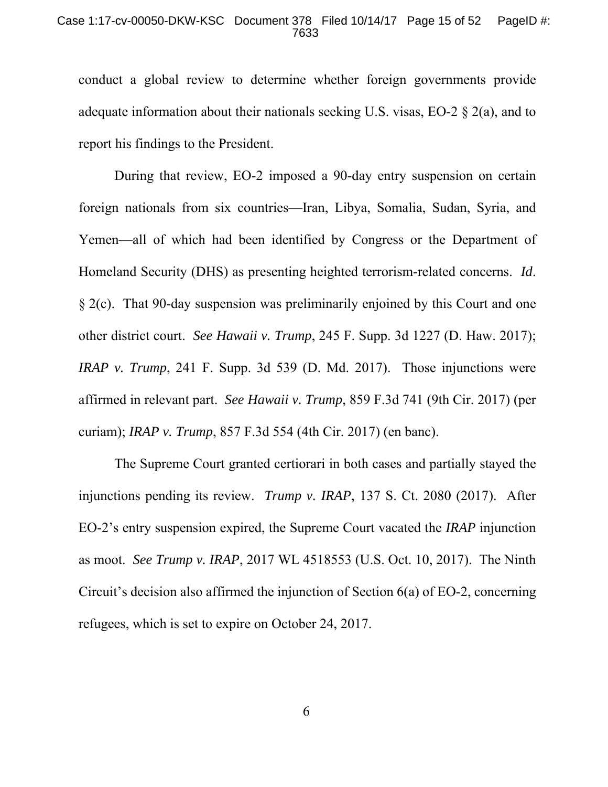### Case 1:17-cv-00050-DKW-KSC Document 378 Filed 10/14/17 Page 15 of 52 PageID #: 7633

conduct a global review to determine whether foreign governments provide adequate information about their nationals seeking U.S. visas, EO-2 § 2(a), and to report his findings to the President.

During that review, EO-2 imposed a 90-day entry suspension on certain foreign nationals from six countries—Iran, Libya, Somalia, Sudan, Syria, and Yemen—all of which had been identified by Congress or the Department of Homeland Security (DHS) as presenting heighted terrorism-related concerns. *Id*. § 2(c). That 90-day suspension was preliminarily enjoined by this Court and one other district court. *See Hawaii v. Trump*, 245 F. Supp. 3d 1227 (D. Haw. 2017); *IRAP v. Trump*, 241 F. Supp. 3d 539 (D. Md. 2017). Those injunctions were affirmed in relevant part. *See Hawaii v. Trump*, 859 F.3d 741 (9th Cir. 2017) (per curiam); *IRAP v. Trump*, 857 F.3d 554 (4th Cir. 2017) (en banc).

The Supreme Court granted certiorari in both cases and partially stayed the injunctions pending its review. *Trump v. IRAP*, 137 S. Ct. 2080 (2017). After EO-2's entry suspension expired, the Supreme Court vacated the *IRAP* injunction as moot. *See Trump v. IRAP*, 2017 WL 4518553 (U.S. Oct. 10, 2017). The Ninth Circuit's decision also affirmed the injunction of Section 6(a) of EO-2, concerning refugees, which is set to expire on October 24, 2017.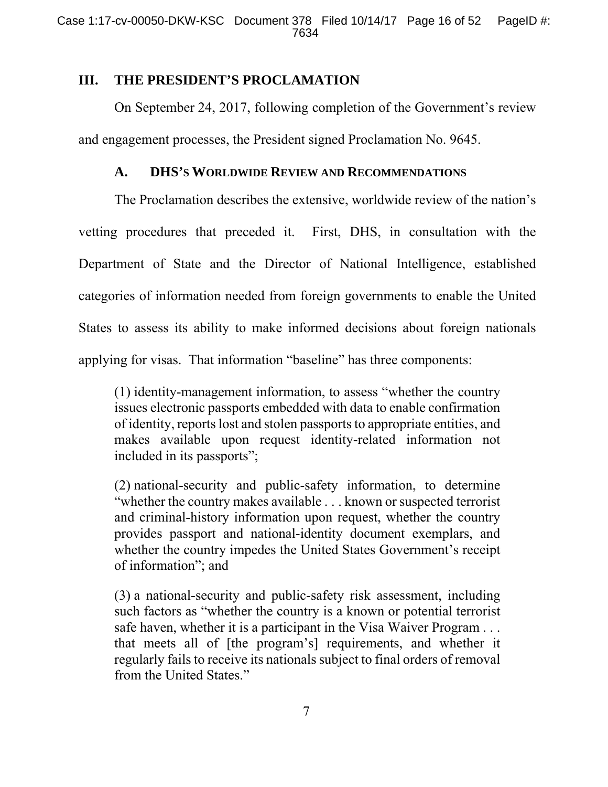## **III. THE PRESIDENT'S PROCLAMATION**

On September 24, 2017, following completion of the Government's review and engagement processes, the President signed Proclamation No. 9645.

## **A. DHS'S WORLDWIDE REVIEW AND RECOMMENDATIONS**

The Proclamation describes the extensive, worldwide review of the nation's vetting procedures that preceded it. First, DHS, in consultation with the Department of State and the Director of National Intelligence, established categories of information needed from foreign governments to enable the United States to assess its ability to make informed decisions about foreign nationals applying for visas. That information "baseline" has three components:

(1) identity-management information, to assess "whether the country issues electronic passports embedded with data to enable confirmation of identity, reports lost and stolen passports to appropriate entities, and makes available upon request identity-related information not included in its passports";

(2) national-security and public-safety information, to determine "whether the country makes available . . . known or suspected terrorist and criminal-history information upon request, whether the country provides passport and national-identity document exemplars, and whether the country impedes the United States Government's receipt of information"; and

(3) a national-security and public-safety risk assessment, including such factors as "whether the country is a known or potential terrorist safe haven, whether it is a participant in the Visa Waiver Program . . . that meets all of [the program's] requirements, and whether it regularly fails to receive its nationals subject to final orders of removal from the United States."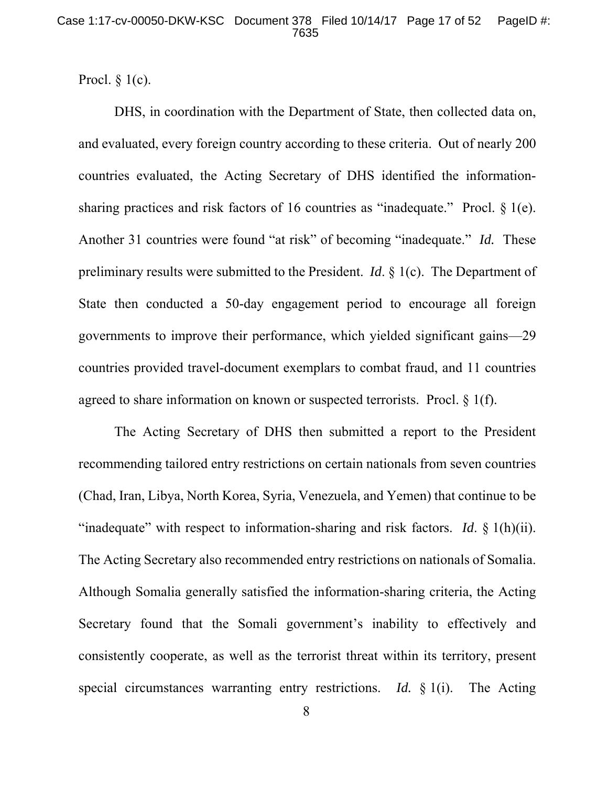Procl.  $§$  1(c).

DHS, in coordination with the Department of State, then collected data on, and evaluated, every foreign country according to these criteria. Out of nearly 200 countries evaluated, the Acting Secretary of DHS identified the informationsharing practices and risk factors of 16 countries as "inadequate." Procl. § 1(e). Another 31 countries were found "at risk" of becoming "inadequate." *Id.* These preliminary results were submitted to the President. *Id*. § 1(c). The Department of State then conducted a 50-day engagement period to encourage all foreign governments to improve their performance, which yielded significant gains—29 countries provided travel-document exemplars to combat fraud, and 11 countries agreed to share information on known or suspected terrorists. Procl. § 1(f).

The Acting Secretary of DHS then submitted a report to the President recommending tailored entry restrictions on certain nationals from seven countries (Chad, Iran, Libya, North Korea, Syria, Venezuela, and Yemen) that continue to be "inadequate" with respect to information-sharing and risk factors. *Id*. § 1(h)(ii). The Acting Secretary also recommended entry restrictions on nationals of Somalia. Although Somalia generally satisfied the information-sharing criteria, the Acting Secretary found that the Somali government's inability to effectively and consistently cooperate, as well as the terrorist threat within its territory, present special circumstances warranting entry restrictions. *Id.* § 1(i). The Acting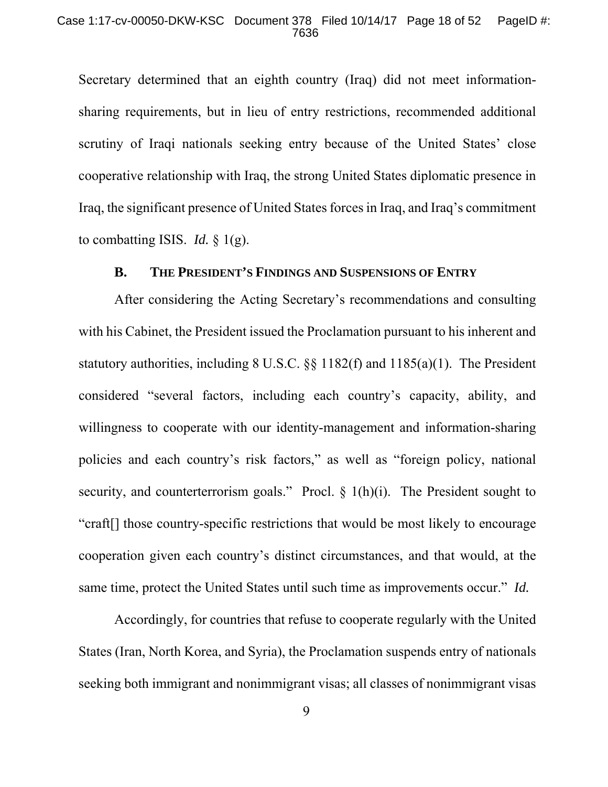Secretary determined that an eighth country (Iraq) did not meet informationsharing requirements, but in lieu of entry restrictions, recommended additional scrutiny of Iraqi nationals seeking entry because of the United States' close cooperative relationship with Iraq, the strong United States diplomatic presence in Iraq, the significant presence of United States forces in Iraq, and Iraq's commitment to combatting ISIS. *Id.* § 1(g).

## **B. THE PRESIDENT'S FINDINGS AND SUSPENSIONS OF ENTRY**

After considering the Acting Secretary's recommendations and consulting with his Cabinet, the President issued the Proclamation pursuant to his inherent and statutory authorities, including 8 U.S.C. §§ 1182(f) and 1185(a)(1). The President considered "several factors, including each country's capacity, ability, and willingness to cooperate with our identity-management and information-sharing policies and each country's risk factors," as well as "foreign policy, national security, and counterterrorism goals." Procl.  $\S$  1(h)(i). The President sought to "craft[] those country-specific restrictions that would be most likely to encourage cooperation given each country's distinct circumstances, and that would, at the same time, protect the United States until such time as improvements occur." *Id.*

Accordingly, for countries that refuse to cooperate regularly with the United States (Iran, North Korea, and Syria), the Proclamation suspends entry of nationals seeking both immigrant and nonimmigrant visas; all classes of nonimmigrant visas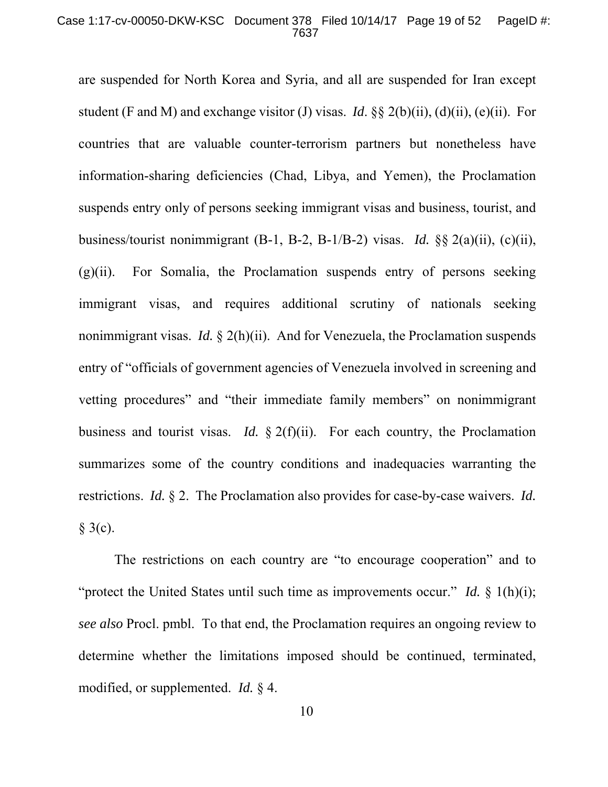### Case 1:17-cv-00050-DKW-KSC Document 378 Filed 10/14/17 Page 19 of 52 PageID #: 7637

are suspended for North Korea and Syria, and all are suspended for Iran except student (F and M) and exchange visitor (J) visas. *Id*. §§ 2(b)(ii), (d)(ii), (e)(ii). For countries that are valuable counter-terrorism partners but nonetheless have information-sharing deficiencies (Chad, Libya, and Yemen), the Proclamation suspends entry only of persons seeking immigrant visas and business, tourist, and business/tourist nonimmigrant (B-1, B-2, B-1/B-2) visas. *Id.* §§ 2(a)(ii), (c)(ii),  $(g)(ii)$ . For Somalia, the Proclamation suspends entry of persons seeking immigrant visas, and requires additional scrutiny of nationals seeking nonimmigrant visas. *Id.* § 2(h)(ii). And for Venezuela, the Proclamation suspends entry of "officials of government agencies of Venezuela involved in screening and vetting procedures" and "their immediate family members" on nonimmigrant business and tourist visas. *Id.* § 2(f)(ii). For each country, the Proclamation summarizes some of the country conditions and inadequacies warranting the restrictions. *Id.* § 2. The Proclamation also provides for case-by-case waivers. *Id.*  $§$  3(c).

The restrictions on each country are "to encourage cooperation" and to "protect the United States until such time as improvements occur." *Id.* § 1(h)(i); *see also* Procl. pmbl. To that end, the Proclamation requires an ongoing review to determine whether the limitations imposed should be continued, terminated, modified, or supplemented. *Id.* § 4.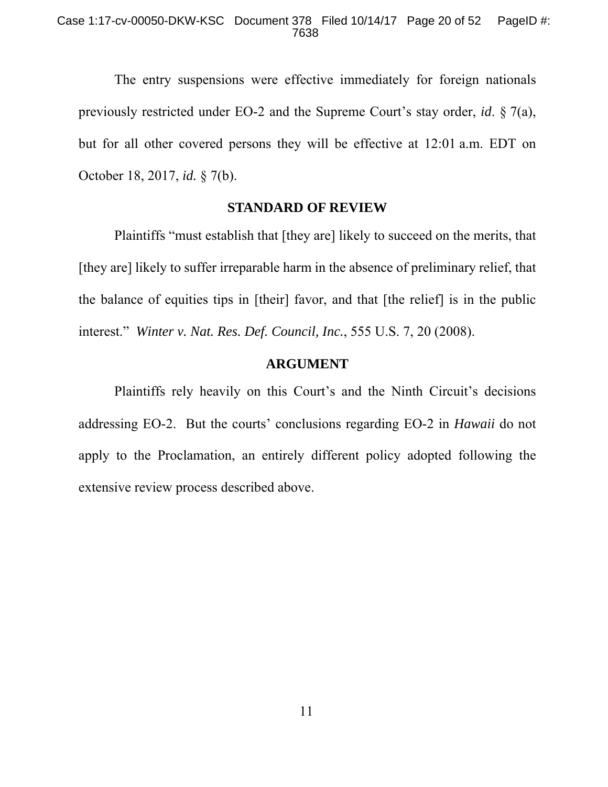The entry suspensions were effective immediately for foreign nationals previously restricted under EO-2 and the Supreme Court's stay order, *id*. § 7(a), but for all other covered persons they will be effective at 12:01 a.m. EDT on October 18, 2017, *id.* § 7(b).

### **STANDARD OF REVIEW**

Plaintiffs "must establish that [they are] likely to succeed on the merits, that [they are] likely to suffer irreparable harm in the absence of preliminary relief, that the balance of equities tips in [their] favor, and that [the relief] is in the public interest." *Winter v. Nat. Res. Def. Council, Inc.*, 555 U.S. 7, 20 (2008).

## **ARGUMENT**

Plaintiffs rely heavily on this Court's and the Ninth Circuit's decisions addressing EO-2. But the courts' conclusions regarding EO-2 in *Hawaii* do not apply to the Proclamation, an entirely different policy adopted following the extensive review process described above.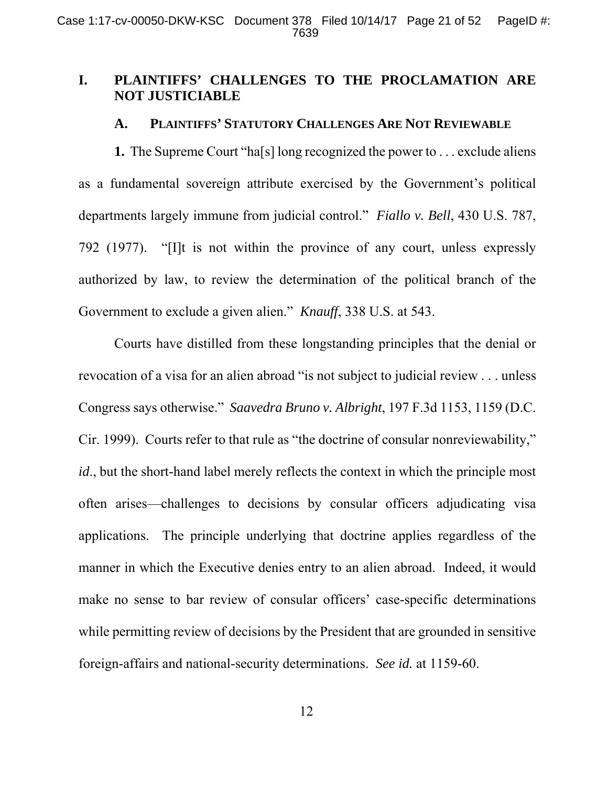## **I. PLAINTIFFS' CHALLENGES TO THE PROCLAMATION ARE NOT JUSTICIABLE**

### **A. PLAINTIFFS' STATUTORY CHALLENGES ARE NOT REVIEWABLE**

**1.** The Supreme Court "ha[s] long recognized the power to . . . exclude aliens as a fundamental sovereign attribute exercised by the Government's political departments largely immune from judicial control." *Fiallo v. Bell*, 430 U.S. 787, 792 (1977). "[I]t is not within the province of any court, unless expressly authorized by law, to review the determination of the political branch of the Government to exclude a given alien." *Knauff*, 338 U.S. at 543.

Courts have distilled from these longstanding principles that the denial or revocation of a visa for an alien abroad "is not subject to judicial review . . . unless Congress says otherwise." *Saavedra Bruno v. Albright*, 197 F.3d 1153, 1159 (D.C. Cir. 1999). Courts refer to that rule as "the doctrine of consular nonreviewability," *id*., but the short-hand label merely reflects the context in which the principle most often arises—challenges to decisions by consular officers adjudicating visa applications. The principle underlying that doctrine applies regardless of the manner in which the Executive denies entry to an alien abroad. Indeed, it would make no sense to bar review of consular officers' case-specific determinations while permitting review of decisions by the President that are grounded in sensitive foreign-affairs and national-security determinations. *See id.* at 1159-60.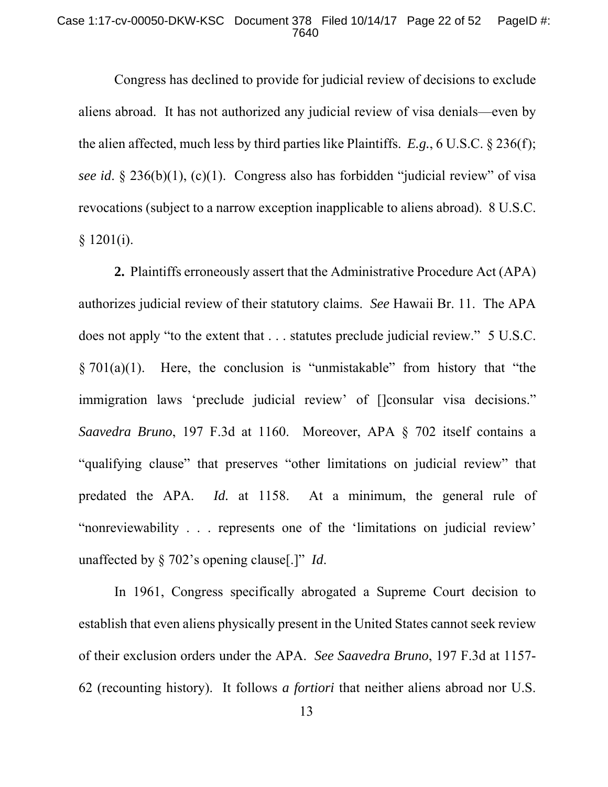### Case 1:17-cv-00050-DKW-KSC Document 378 Filed 10/14/17 Page 22 of 52 PageID #: 7640

Congress has declined to provide for judicial review of decisions to exclude aliens abroad. It has not authorized any judicial review of visa denials—even by the alien affected, much less by third parties like Plaintiffs. *E.g.*, 6 U.S.C. § 236(f); *see id*. § 236(b)(1), (c)(1). Congress also has forbidden "judicial review" of visa revocations (subject to a narrow exception inapplicable to aliens abroad). 8 U.S.C.  $§ 1201(i).$ 

**2.** Plaintiffs erroneously assert that the Administrative Procedure Act (APA) authorizes judicial review of their statutory claims. *See* Hawaii Br. 11. The APA does not apply "to the extent that . . . statutes preclude judicial review." 5 U.S.C.  $\S 701(a)(1)$ . Here, the conclusion is "unmistakable" from history that "the immigration laws 'preclude judicial review' of []consular visa decisions." *Saavedra Bruno*, 197 F.3d at 1160. Moreover, APA § 702 itself contains a "qualifying clause" that preserves "other limitations on judicial review" that predated the APA. *Id.* at 1158. At a minimum, the general rule of "nonreviewability . . . represents one of the 'limitations on judicial review' unaffected by § 702's opening clause[.]" *Id*.

In 1961, Congress specifically abrogated a Supreme Court decision to establish that even aliens physically present in the United States cannot seek review of their exclusion orders under the APA. *See Saavedra Bruno*, 197 F.3d at 1157- 62 (recounting history). It follows *a fortiori* that neither aliens abroad nor U.S.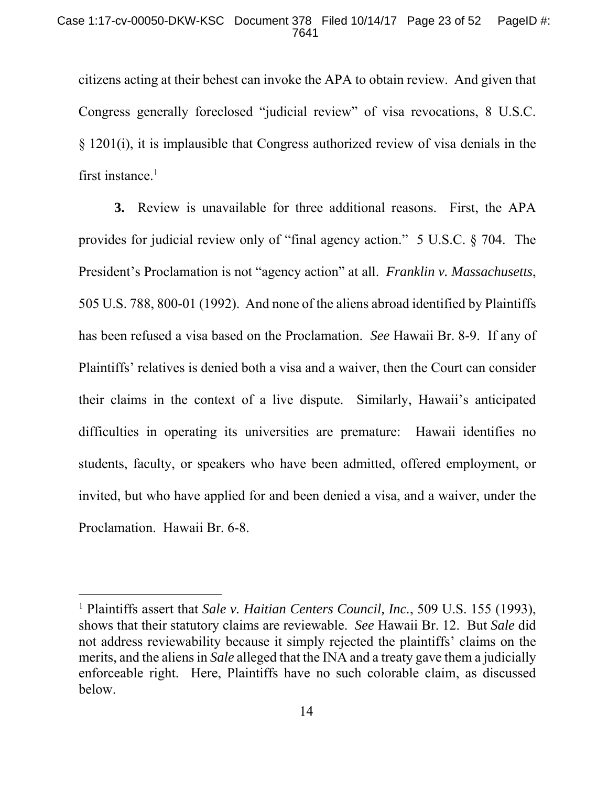citizens acting at their behest can invoke the APA to obtain review. And given that Congress generally foreclosed "judicial review" of visa revocations, 8 U.S.C. § 1201(i), it is implausible that Congress authorized review of visa denials in the first instance. $<sup>1</sup>$ </sup>

**3.** Review is unavailable for three additional reasons. First, the APA provides for judicial review only of "final agency action." 5 U.S.C. § 704. The President's Proclamation is not "agency action" at all. *Franklin v. Massachusetts*, 505 U.S. 788, 800-01 (1992). And none of the aliens abroad identified by Plaintiffs has been refused a visa based on the Proclamation. *See* Hawaii Br. 8-9. If any of Plaintiffs' relatives is denied both a visa and a waiver, then the Court can consider their claims in the context of a live dispute. Similarly, Hawaii's anticipated difficulties in operating its universities are premature: Hawaii identifies no students, faculty, or speakers who have been admitted, offered employment, or invited, but who have applied for and been denied a visa, and a waiver, under the Proclamation. Hawaii Br. 6-8.

<sup>&</sup>lt;sup>1</sup> Plaintiffs assert that *Sale v. Haitian Centers Council, Inc.*, 509 U.S. 155 (1993), shows that their statutory claims are reviewable. *See* Hawaii Br. 12. But *Sale* did not address reviewability because it simply rejected the plaintiffs' claims on the merits, and the aliens in *Sale* alleged that the INA and a treaty gave them a judicially enforceable right. Here, Plaintiffs have no such colorable claim, as discussed below.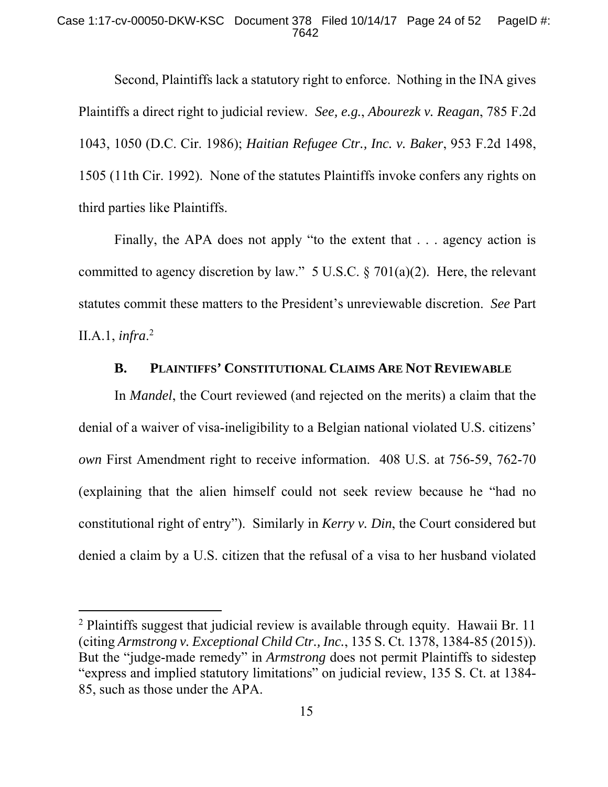Second, Plaintiffs lack a statutory right to enforce. Nothing in the INA gives Plaintiffs a direct right to judicial review. *See, e.g.*, *Abourezk v. Reagan*, 785 F.2d 1043, 1050 (D.C. Cir. 1986); *Haitian Refugee Ctr., Inc. v. Baker*, 953 F.2d 1498, 1505 (11th Cir. 1992). None of the statutes Plaintiffs invoke confers any rights on third parties like Plaintiffs.

Finally, the APA does not apply "to the extent that . . . agency action is committed to agency discretion by law."  $5 \text{ U.S.C.} \$   $701(a)(2)$ . Here, the relevant statutes commit these matters to the President's unreviewable discretion. *See* Part II.A.1, *infra*. 2

## **B. PLAINTIFFS' CONSTITUTIONAL CLAIMS ARE NOT REVIEWABLE**

In *Mandel*, the Court reviewed (and rejected on the merits) a claim that the denial of a waiver of visa-ineligibility to a Belgian national violated U.S. citizens' *own* First Amendment right to receive information. 408 U.S. at 756-59, 762-70 (explaining that the alien himself could not seek review because he "had no constitutional right of entry"). Similarly in *Kerry v. Din*, the Court considered but denied a claim by a U.S. citizen that the refusal of a visa to her husband violated

<sup>&</sup>lt;sup>2</sup> Plaintiffs suggest that judicial review is available through equity. Hawaii Br. 11 (citing *Armstrong v. Exceptional Child Ctr., Inc.*, 135 S. Ct. 1378, 1384-85 (2015)). But the "judge-made remedy" in *Armstrong* does not permit Plaintiffs to sidestep "express and implied statutory limitations" on judicial review, 135 S. Ct. at 1384- 85, such as those under the APA.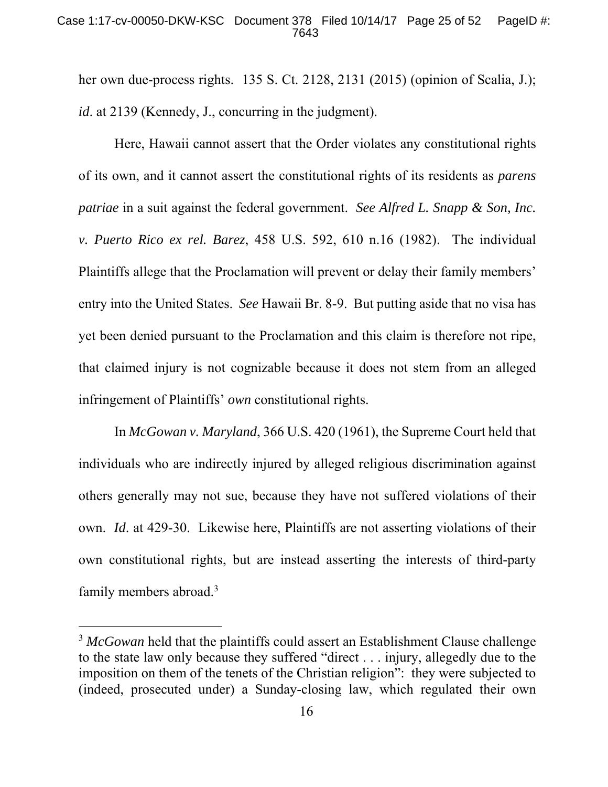her own due-process rights. 135 S. Ct. 2128, 2131 (2015) (opinion of Scalia, J.); *id*. at 2139 (Kennedy, J., concurring in the judgment).

Here, Hawaii cannot assert that the Order violates any constitutional rights of its own, and it cannot assert the constitutional rights of its residents as *parens patriae* in a suit against the federal government. *See Alfred L. Snapp & Son, Inc. v. Puerto Rico ex rel. Barez*, 458 U.S. 592, 610 n.16 (1982). The individual Plaintiffs allege that the Proclamation will prevent or delay their family members' entry into the United States. *See* Hawaii Br. 8-9. But putting aside that no visa has yet been denied pursuant to the Proclamation and this claim is therefore not ripe, that claimed injury is not cognizable because it does not stem from an alleged infringement of Plaintiffs' *own* constitutional rights.

In *McGowan v. Maryland*, 366 U.S. 420 (1961), the Supreme Court held that individuals who are indirectly injured by alleged religious discrimination against others generally may not sue, because they have not suffered violations of their own. *Id*. at 429-30. Likewise here, Plaintiffs are not asserting violations of their own constitutional rights, but are instead asserting the interests of third-party family members abroad.<sup>3</sup>

<sup>&</sup>lt;sup>3</sup> McGowan held that the plaintiffs could assert an Establishment Clause challenge to the state law only because they suffered "direct . . . injury, allegedly due to the imposition on them of the tenets of the Christian religion": they were subjected to (indeed, prosecuted under) a Sunday-closing law, which regulated their own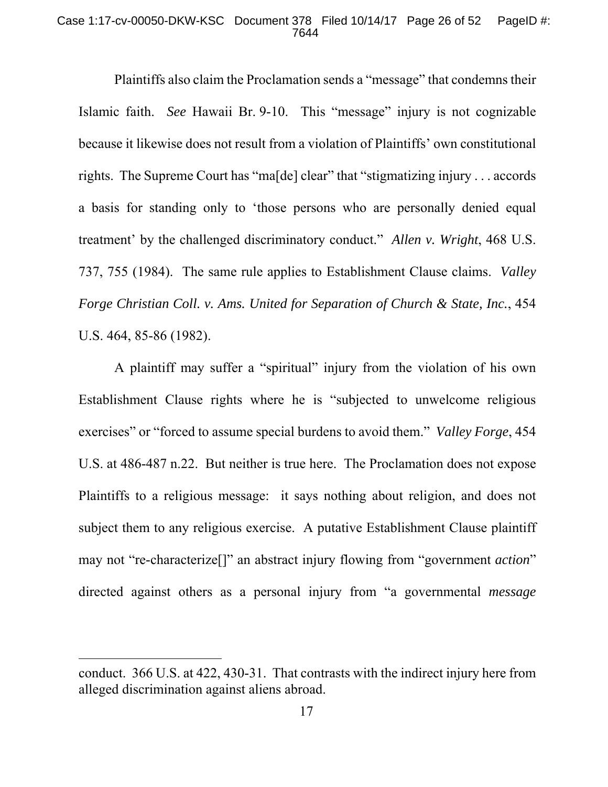### Case 1:17-cv-00050-DKW-KSC Document 378 Filed 10/14/17 Page 26 of 52 PageID #: 7644

Plaintiffs also claim the Proclamation sends a "message" that condemns their Islamic faith. *See* Hawaii Br. 9-10. This "message" injury is not cognizable because it likewise does not result from a violation of Plaintiffs' own constitutional rights. The Supreme Court has "ma[de] clear" that "stigmatizing injury . . . accords a basis for standing only to 'those persons who are personally denied equal treatment' by the challenged discriminatory conduct." *Allen v. Wright*, 468 U.S. 737, 755 (1984). The same rule applies to Establishment Clause claims. *Valley Forge Christian Coll. v. Ams. United for Separation of Church & State, Inc.*, 454 U.S. 464, 85-86 (1982).

A plaintiff may suffer a "spiritual" injury from the violation of his own Establishment Clause rights where he is "subjected to unwelcome religious exercises" or "forced to assume special burdens to avoid them." *Valley Forge*, 454 U.S. at 486-487 n.22. But neither is true here. The Proclamation does not expose Plaintiffs to a religious message: it says nothing about religion, and does not subject them to any religious exercise. A putative Establishment Clause plaintiff may not "re-characterize[]" an abstract injury flowing from "government *action*" directed against others as a personal injury from "a governmental *message*

conduct. 366 U.S. at 422, 430-31. That contrasts with the indirect injury here from alleged discrimination against aliens abroad.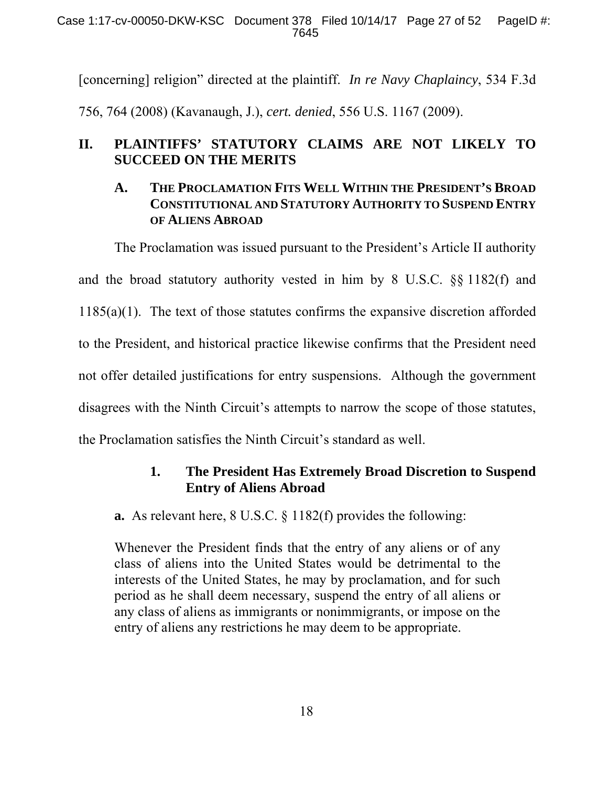Case 1:17-cv-00050-DKW-KSC Document 378 Filed 10/14/17 Page 27 of 52 PageID #: 7645

[concerning] religion" directed at the plaintiff. *In re Navy Chaplaincy*, 534 F.3d 756, 764 (2008) (Kavanaugh, J.), *cert. denied*, 556 U.S. 1167 (2009).

# **II. PLAINTIFFS' STATUTORY CLAIMS ARE NOT LIKELY TO SUCCEED ON THE MERITS**

# **A. THE PROCLAMATION FITS WELL WITHIN THE PRESIDENT'S BROAD CONSTITUTIONAL AND STATUTORY AUTHORITY TO SUSPEND ENTRY OF ALIENS ABROAD**

The Proclamation was issued pursuant to the President's Article II authority and the broad statutory authority vested in him by 8 U.S.C. §§ 1182(f) and 1185(a)(1). The text of those statutes confirms the expansive discretion afforded to the President, and historical practice likewise confirms that the President need not offer detailed justifications for entry suspensions. Although the government disagrees with the Ninth Circuit's attempts to narrow the scope of those statutes, the Proclamation satisfies the Ninth Circuit's standard as well.

# **1. The President Has Extremely Broad Discretion to Suspend Entry of Aliens Abroad**

**a.** As relevant here, 8 U.S.C. § 1182(f) provides the following:

Whenever the President finds that the entry of any aliens or of any class of aliens into the United States would be detrimental to the interests of the United States, he may by proclamation, and for such period as he shall deem necessary, suspend the entry of all aliens or any class of aliens as immigrants or nonimmigrants, or impose on the entry of aliens any restrictions he may deem to be appropriate.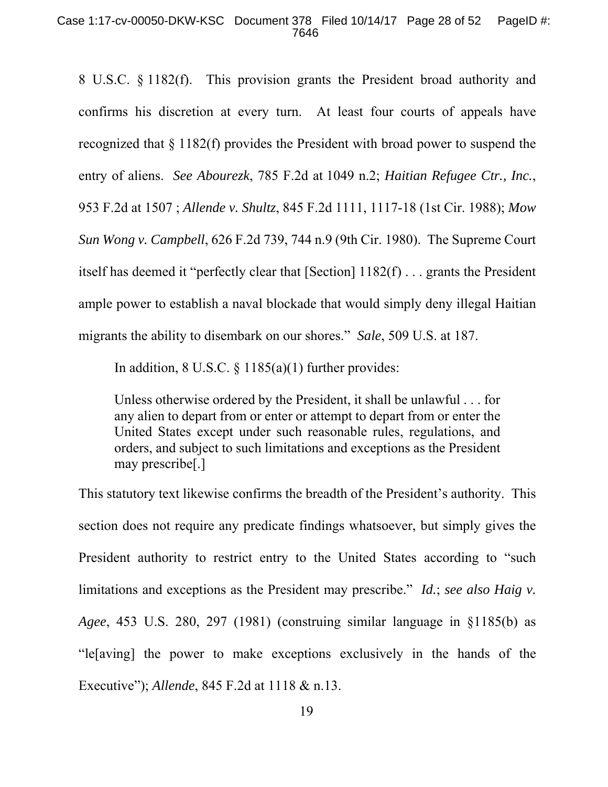8 U.S.C. § 1182(f). This provision grants the President broad authority and confirms his discretion at every turn. At least four courts of appeals have recognized that § 1182(f) provides the President with broad power to suspend the entry of aliens. *See Abourezk*, 785 F.2d at 1049 n.2; *Haitian Refugee Ctr., Inc.*, 953 F.2d at 1507 ; *Allende v. Shultz*, 845 F.2d 1111, 1117-18 (1st Cir. 1988); *Mow Sun Wong v. Campbell*, 626 F.2d 739, 744 n.9 (9th Cir. 1980). The Supreme Court itself has deemed it "perfectly clear that [Section] 1182(f) . . . grants the President ample power to establish a naval blockade that would simply deny illegal Haitian migrants the ability to disembark on our shores." *Sale*, 509 U.S. at 187.

In addition,  $8 \text{ U.S.C.} \$  $1185(a)(1)$  further provides:

Unless otherwise ordered by the President, it shall be unlawful . . . for any alien to depart from or enter or attempt to depart from or enter the United States except under such reasonable rules, regulations, and orders, and subject to such limitations and exceptions as the President may prescribe[.]

This statutory text likewise confirms the breadth of the President's authority. This section does not require any predicate findings whatsoever, but simply gives the President authority to restrict entry to the United States according to "such limitations and exceptions as the President may prescribe." *Id.*; *see also Haig v. Agee*, 453 U.S. 280, 297 (1981) (construing similar language in §1185(b) as "le[aving] the power to make exceptions exclusively in the hands of the Executive"); *Allende*, 845 F.2d at 1118 & n.13.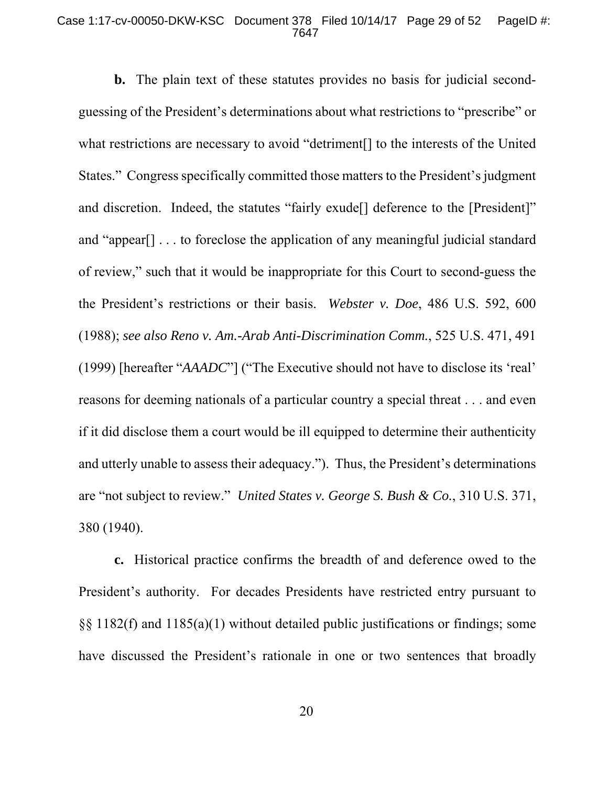#### Case 1:17-cv-00050-DKW-KSC Document 378 Filed 10/14/17 Page 29 of 52 PageID #: 7647

**b.** The plain text of these statutes provides no basis for judicial secondguessing of the President's determinations about what restrictions to "prescribe" or what restrictions are necessary to avoid "detriment[] to the interests of the United States." Congress specifically committed those matters to the President's judgment and discretion. Indeed, the statutes "fairly exude<sup>[]</sup> deference to the [President]" and "appear[] . . . to foreclose the application of any meaningful judicial standard of review," such that it would be inappropriate for this Court to second-guess the the President's restrictions or their basis. *Webster v. Doe*, 486 U.S. 592, 600 (1988); *see also Reno v. Am.-Arab Anti-Discrimination Comm.*, 525 U.S. 471, 491 (1999) [hereafter "*AAADC*"] ("The Executive should not have to disclose its 'real' reasons for deeming nationals of a particular country a special threat . . . and even if it did disclose them a court would be ill equipped to determine their authenticity and utterly unable to assess their adequacy."). Thus, the President's determinations are "not subject to review." *United States v. George S. Bush & Co.*, 310 U.S. 371, 380 (1940).

**c.** Historical practice confirms the breadth of and deference owed to the President's authority. For decades Presidents have restricted entry pursuant to §§ 1182(f) and 1185(a)(1) without detailed public justifications or findings; some have discussed the President's rationale in one or two sentences that broadly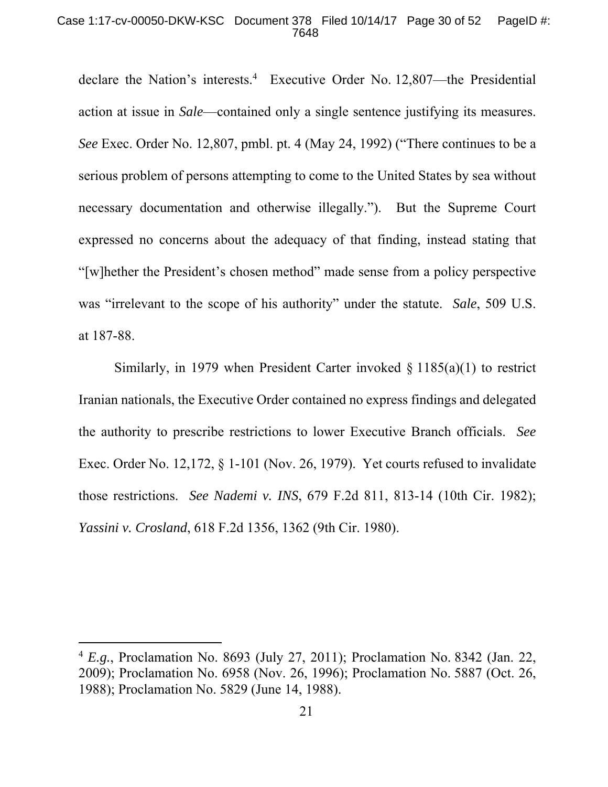### Case 1:17-cv-00050-DKW-KSC Document 378 Filed 10/14/17 Page 30 of 52 PageID #: 7648

declare the Nation's interests.4 Executive Order No. 12,807—the Presidential action at issue in *Sale*—contained only a single sentence justifying its measures. *See* Exec. Order No. 12,807, pmbl. pt. 4 (May 24, 1992) ("There continues to be a serious problem of persons attempting to come to the United States by sea without necessary documentation and otherwise illegally."). But the Supreme Court expressed no concerns about the adequacy of that finding, instead stating that "[w]hether the President's chosen method" made sense from a policy perspective was "irrelevant to the scope of his authority" under the statute. *Sale*, 509 U.S. at 187-88.

Similarly, in 1979 when President Carter invoked § 1185(a)(1) to restrict Iranian nationals, the Executive Order contained no express findings and delegated the authority to prescribe restrictions to lower Executive Branch officials. *See* Exec. Order No. 12,172, § 1-101 (Nov. 26, 1979). Yet courts refused to invalidate those restrictions. *See Nademi v. INS*, 679 F.2d 811, 813-14 (10th Cir. 1982); *Yassini v. Crosland*, 618 F.2d 1356, 1362 (9th Cir. 1980).

<sup>4</sup> *E.g.*, Proclamation No. 8693 (July 27, 2011); Proclamation No. 8342 (Jan. 22, 2009); Proclamation No. 6958 (Nov. 26, 1996); Proclamation No. 5887 (Oct. 26, 1988); Proclamation No. 5829 (June 14, 1988).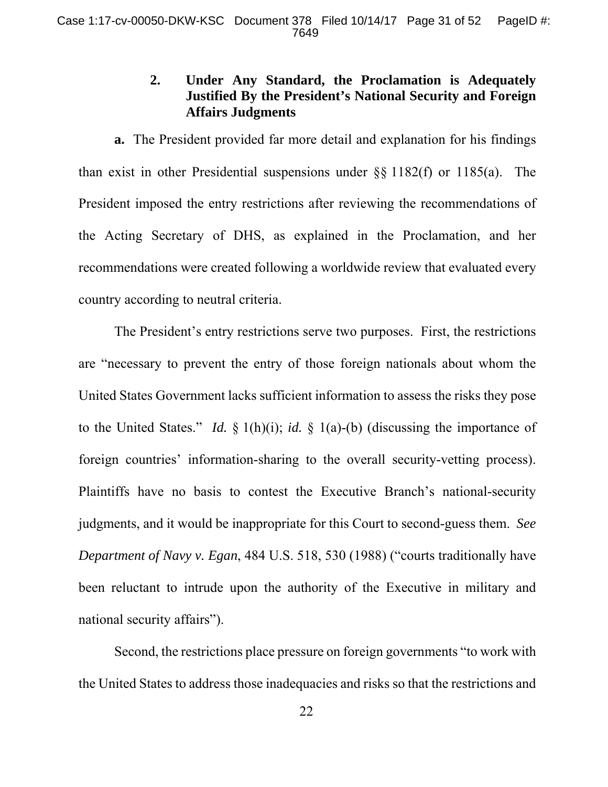# **2. Under Any Standard, the Proclamation is Adequately Justified By the President's National Security and Foreign Affairs Judgments**

**a.** The President provided far more detail and explanation for his findings than exist in other Presidential suspensions under §§ 1182(f) or 1185(a). The President imposed the entry restrictions after reviewing the recommendations of the Acting Secretary of DHS, as explained in the Proclamation, and her recommendations were created following a worldwide review that evaluated every country according to neutral criteria.

The President's entry restrictions serve two purposes. First, the restrictions are "necessary to prevent the entry of those foreign nationals about whom the United States Government lacks sufficient information to assess the risks they pose to the United States." *Id.* § 1(h)(i); *id.* § 1(a)-(b) (discussing the importance of foreign countries' information-sharing to the overall security-vetting process). Plaintiffs have no basis to contest the Executive Branch's national-security judgments, and it would be inappropriate for this Court to second-guess them. *See Department of Navy v. Egan*, 484 U.S. 518, 530 (1988) ("courts traditionally have been reluctant to intrude upon the authority of the Executive in military and national security affairs").

Second, the restrictions place pressure on foreign governments "to work with the United States to address those inadequacies and risks so that the restrictions and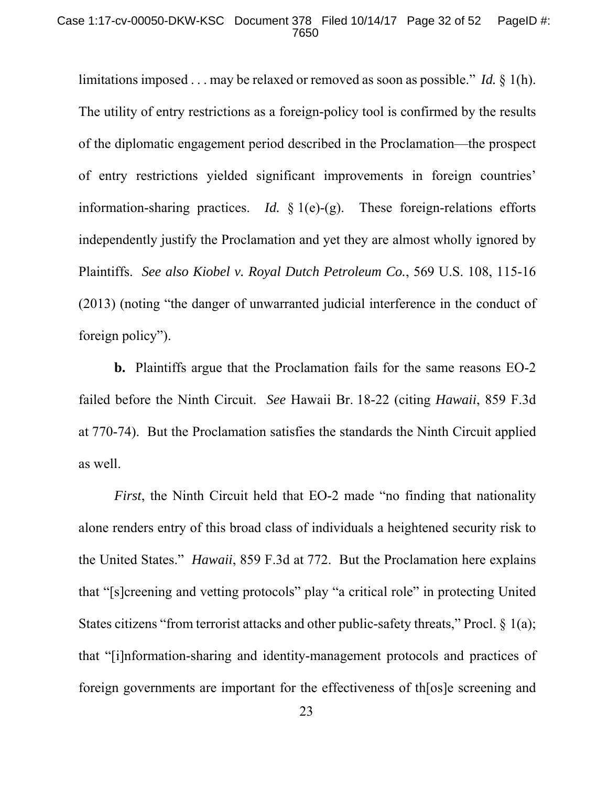#### Case 1:17-cv-00050-DKW-KSC Document 378 Filed 10/14/17 Page 32 of 52 PageID #: 7650

limitations imposed . . . may be relaxed or removed as soon as possible." *Id.* § 1(h). The utility of entry restrictions as a foreign-policy tool is confirmed by the results of the diplomatic engagement period described in the Proclamation—the prospect of entry restrictions yielded significant improvements in foreign countries' information-sharing practices. *Id.* § 1(e)-(g). These foreign-relations efforts independently justify the Proclamation and yet they are almost wholly ignored by Plaintiffs. *See also Kiobel v. Royal Dutch Petroleum Co.*, 569 U.S. 108, 115-16 (2013) (noting "the danger of unwarranted judicial interference in the conduct of foreign policy").

**b.** Plaintiffs argue that the Proclamation fails for the same reasons EO-2 failed before the Ninth Circuit. *See* Hawaii Br. 18-22 (citing *Hawaii*, 859 F.3d at 770-74). But the Proclamation satisfies the standards the Ninth Circuit applied as well.

*First*, the Ninth Circuit held that EO-2 made "no finding that nationality alone renders entry of this broad class of individuals a heightened security risk to the United States." *Hawaii*, 859 F.3d at 772. But the Proclamation here explains that "[s]creening and vetting protocols" play "a critical role" in protecting United States citizens "from terrorist attacks and other public-safety threats," Procl. § 1(a); that "[i]nformation-sharing and identity-management protocols and practices of foreign governments are important for the effectiveness of th[os]e screening and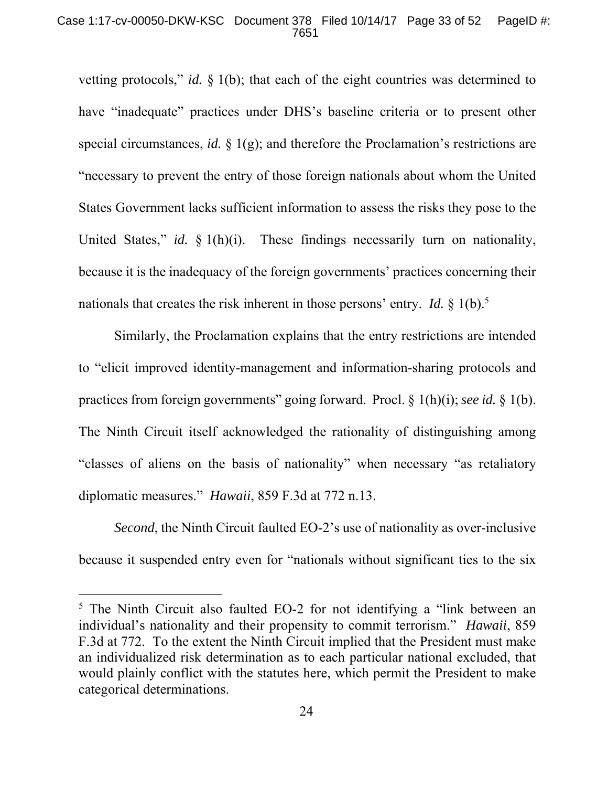### Case 1:17-cv-00050-DKW-KSC Document 378 Filed 10/14/17 Page 33 of 52 PageID #: 7651

vetting protocols," *id.* § 1(b); that each of the eight countries was determined to have "inadequate" practices under DHS's baseline criteria or to present other special circumstances, *id.* § 1(g); and therefore the Proclamation's restrictions are "necessary to prevent the entry of those foreign nationals about whom the United States Government lacks sufficient information to assess the risks they pose to the United States," *id.* § 1(h)(i). These findings necessarily turn on nationality, because it is the inadequacy of the foreign governments' practices concerning their nationals that creates the risk inherent in those persons' entry. *Id.* § 1(b).<sup>5</sup>

Similarly, the Proclamation explains that the entry restrictions are intended to "elicit improved identity-management and information-sharing protocols and practices from foreign governments" going forward. Procl. § 1(h)(i); *see id.* § 1(b). The Ninth Circuit itself acknowledged the rationality of distinguishing among "classes of aliens on the basis of nationality" when necessary "as retaliatory diplomatic measures." *Hawaii*, 859 F.3d at 772 n.13.

*Second*, the Ninth Circuit faulted EO-2's use of nationality as over-inclusive because it suspended entry even for "nationals without significant ties to the six

<sup>&</sup>lt;sup>5</sup> The Ninth Circuit also faulted EO-2 for not identifying a "link between an individual's nationality and their propensity to commit terrorism." *Hawaii*, 859 F.3d at 772. To the extent the Ninth Circuit implied that the President must make an individualized risk determination as to each particular national excluded, that would plainly conflict with the statutes here, which permit the President to make categorical determinations.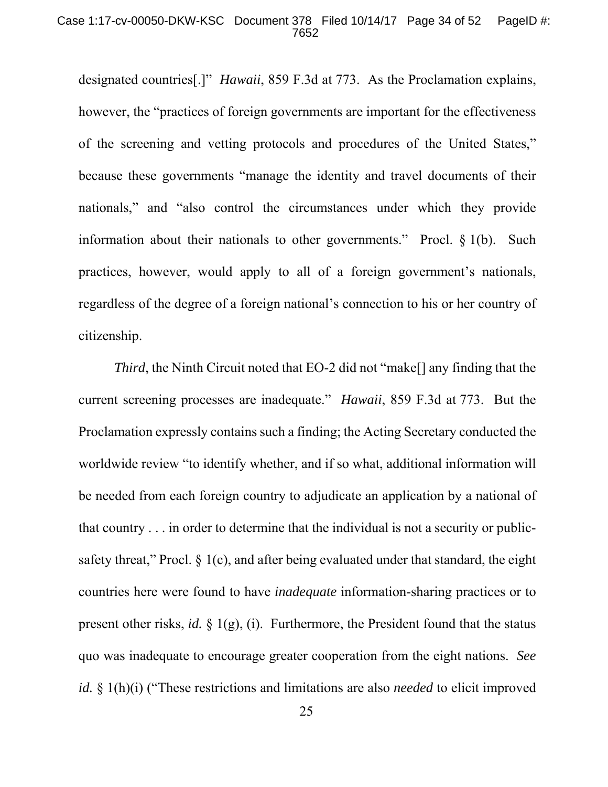### Case 1:17-cv-00050-DKW-KSC Document 378 Filed 10/14/17 Page 34 of 52 PageID #: 7652

designated countries[.]" *Hawaii*, 859 F.3d at 773. As the Proclamation explains, however, the "practices of foreign governments are important for the effectiveness of the screening and vetting protocols and procedures of the United States," because these governments "manage the identity and travel documents of their nationals," and "also control the circumstances under which they provide information about their nationals to other governments." Procl. § 1(b). Such practices, however, would apply to all of a foreign government's nationals, regardless of the degree of a foreign national's connection to his or her country of citizenship.

*Third*, the Ninth Circuit noted that EO-2 did not "make<sup>[]</sup> any finding that the current screening processes are inadequate." *Hawaii*, 859 F.3d at 773. But the Proclamation expressly contains such a finding; the Acting Secretary conducted the worldwide review "to identify whether, and if so what, additional information will be needed from each foreign country to adjudicate an application by a national of that country . . . in order to determine that the individual is not a security or publicsafety threat," Procl.  $\S$  1(c), and after being evaluated under that standard, the eight countries here were found to have *inadequate* information-sharing practices or to present other risks, *id.*  $\S$  1(g), (i). Furthermore, the President found that the status quo was inadequate to encourage greater cooperation from the eight nations. *See id.* § 1(h)(i) ("These restrictions and limitations are also *needed* to elicit improved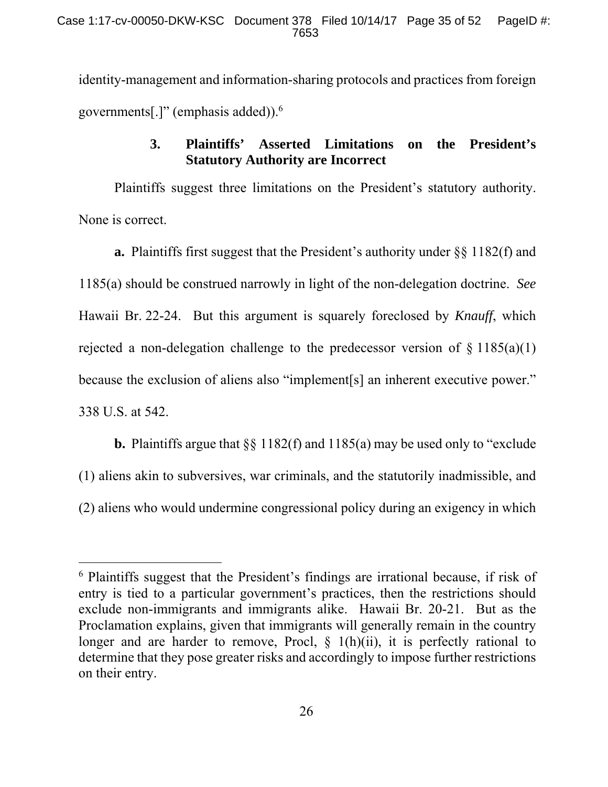identity-management and information-sharing protocols and practices from foreign governments[.]" (emphasis added)).6

# **3. Plaintiffs' Asserted Limitations on the President's Statutory Authority are Incorrect**

Plaintiffs suggest three limitations on the President's statutory authority. None is correct.

**a.** Plaintiffs first suggest that the President's authority under §§ 1182(f) and 1185(a) should be construed narrowly in light of the non-delegation doctrine. *See*  Hawaii Br. 22-24. But this argument is squarely foreclosed by *Knauff*, which rejected a non-delegation challenge to the predecessor version of  $\S 1185(a)(1)$ because the exclusion of aliens also "implement[s] an inherent executive power." 338 U.S. at 542.

**b.** Plaintiffs argue that §§ 1182(f) and 1185(a) may be used only to "exclude (1) aliens akin to subversives, war criminals, and the statutorily inadmissible, and (2) aliens who would undermine congressional policy during an exigency in which

<sup>&</sup>lt;sup>6</sup> Plaintiffs suggest that the President's findings are irrational because, if risk of entry is tied to a particular government's practices, then the restrictions should exclude non-immigrants and immigrants alike. Hawaii Br. 20-21. But as the Proclamation explains, given that immigrants will generally remain in the country longer and are harder to remove, Procl,  $\S$  1(h)(ii), it is perfectly rational to determine that they pose greater risks and accordingly to impose further restrictions on their entry.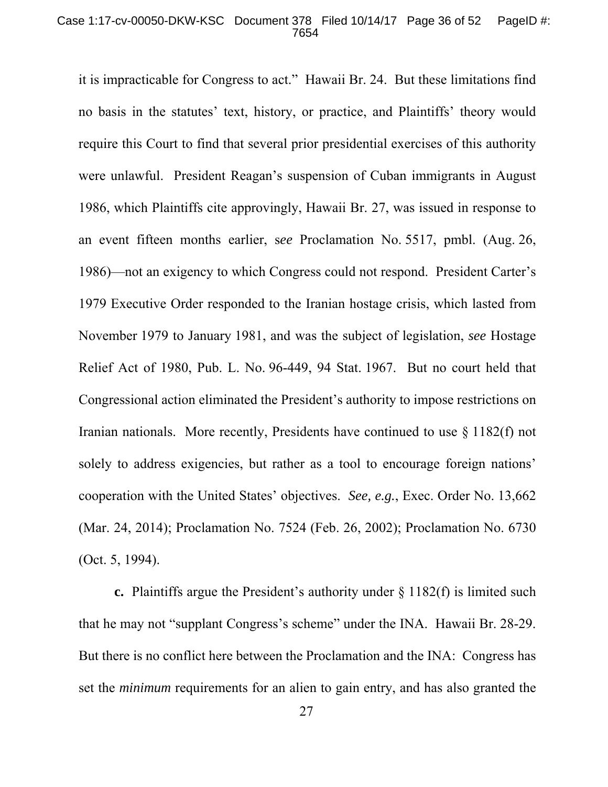### Case 1:17-cv-00050-DKW-KSC Document 378 Filed 10/14/17 Page 36 of 52 PageID #: 7654

it is impracticable for Congress to act." Hawaii Br. 24. But these limitations find no basis in the statutes' text, history, or practice, and Plaintiffs' theory would require this Court to find that several prior presidential exercises of this authority were unlawful. President Reagan's suspension of Cuban immigrants in August 1986, which Plaintiffs cite approvingly, Hawaii Br. 27, was issued in response to an event fifteen months earlier, s*ee* Proclamation No. 5517, pmbl. (Aug. 26, 1986)—not an exigency to which Congress could not respond. President Carter's 1979 Executive Order responded to the Iranian hostage crisis, which lasted from November 1979 to January 1981, and was the subject of legislation, *see* Hostage Relief Act of 1980, Pub. L. No. 96-449, 94 Stat. 1967. But no court held that Congressional action eliminated the President's authority to impose restrictions on Iranian nationals. More recently, Presidents have continued to use § 1182(f) not solely to address exigencies, but rather as a tool to encourage foreign nations' cooperation with the United States' objectives. *See, e.g.*, Exec. Order No. 13,662 (Mar. 24, 2014); Proclamation No. 7524 (Feb. 26, 2002); Proclamation No. 6730 (Oct. 5, 1994).

**c.** Plaintiffs argue the President's authority under § 1182(f) is limited such that he may not "supplant Congress's scheme" under the INA. Hawaii Br. 28-29. But there is no conflict here between the Proclamation and the INA: Congress has set the *minimum* requirements for an alien to gain entry, and has also granted the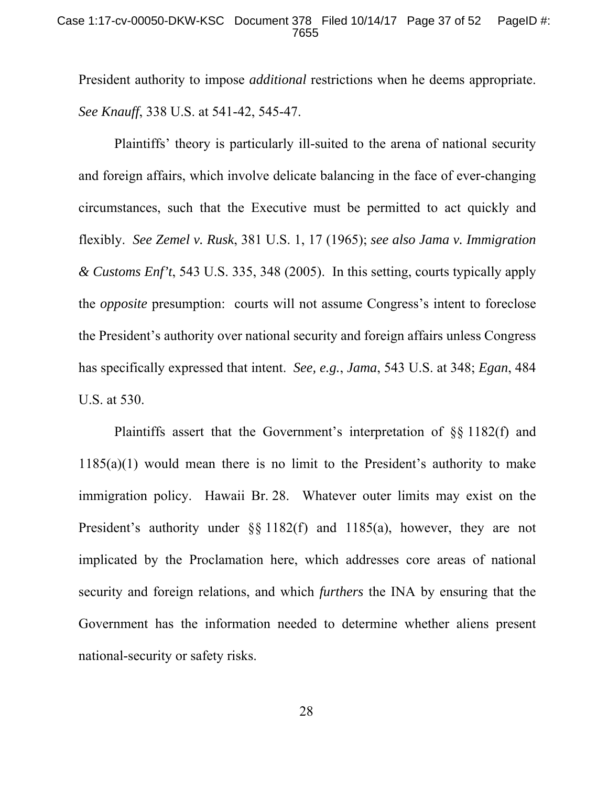President authority to impose *additional* restrictions when he deems appropriate. *See Knauff*, 338 U.S. at 541-42, 545-47.

Plaintiffs' theory is particularly ill-suited to the arena of national security and foreign affairs, which involve delicate balancing in the face of ever-changing circumstances, such that the Executive must be permitted to act quickly and flexibly. *See Zemel v. Rusk*, 381 U.S. 1, 17 (1965); *see also Jama v. Immigration & Customs Enf't*, 543 U.S. 335, 348 (2005). In this setting, courts typically apply the *opposite* presumption: courts will not assume Congress's intent to foreclose the President's authority over national security and foreign affairs unless Congress has specifically expressed that intent. *See, e.g.*, *Jama*, 543 U.S. at 348; *Egan*, 484 U.S. at 530.

Plaintiffs assert that the Government's interpretation of §§ 1182(f) and  $1185(a)(1)$  would mean there is no limit to the President's authority to make immigration policy. Hawaii Br. 28. Whatever outer limits may exist on the President's authority under §§ 1182(f) and 1185(a), however, they are not implicated by the Proclamation here, which addresses core areas of national security and foreign relations, and which *furthers* the INA by ensuring that the Government has the information needed to determine whether aliens present national-security or safety risks.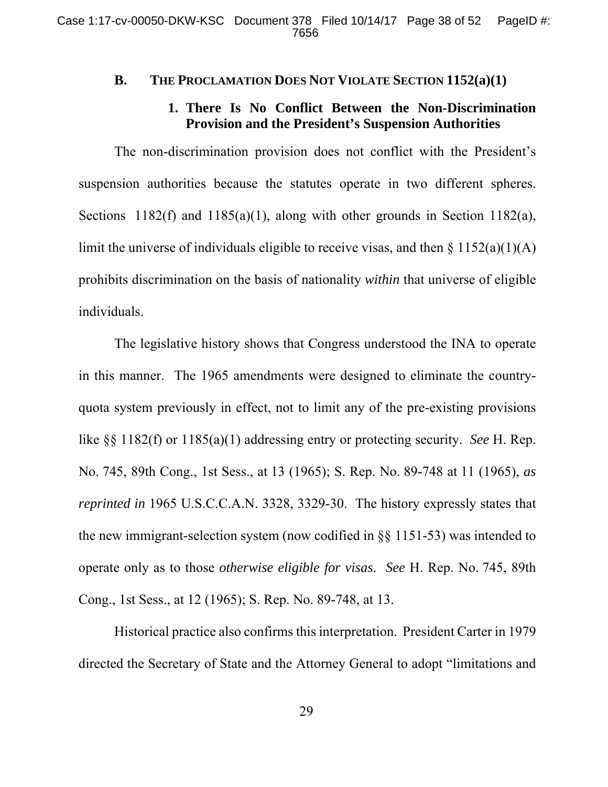## **B. THE PROCLAMATION DOES NOT VIOLATE SECTION 1152(a)(1)**

## **1. There Is No Conflict Between the Non-Discrimination Provision and the President's Suspension Authorities**

The non-discrimination provision does not conflict with the President's suspension authorities because the statutes operate in two different spheres. Sections 1182(f) and 1185(a)(1), along with other grounds in Section 1182(a), limit the universe of individuals eligible to receive visas, and then  $\S 1152(a)(1)(A)$ prohibits discrimination on the basis of nationality *within* that universe of eligible individuals.

The legislative history shows that Congress understood the INA to operate in this manner. The 1965 amendments were designed to eliminate the countryquota system previously in effect, not to limit any of the pre-existing provisions like §§ 1182(f) or 1185(a)(1) addressing entry or protecting security. *See* H. Rep. No. 745, 89th Cong., 1st Sess., at 13 (1965); S. Rep. No. 89-748 at 11 (1965), *as reprinted in* 1965 U.S.C.C.A.N. 3328, 3329-30. The history expressly states that the new immigrant-selection system (now codified in §§ 1151-53) was intended to operate only as to those *otherwise eligible for visas*. *See* H. Rep. No. 745, 89th Cong., 1st Sess., at 12 (1965); S. Rep. No. 89-748, at 13.

Historical practice also confirms this interpretation. President Carter in 1979 directed the Secretary of State and the Attorney General to adopt "limitations and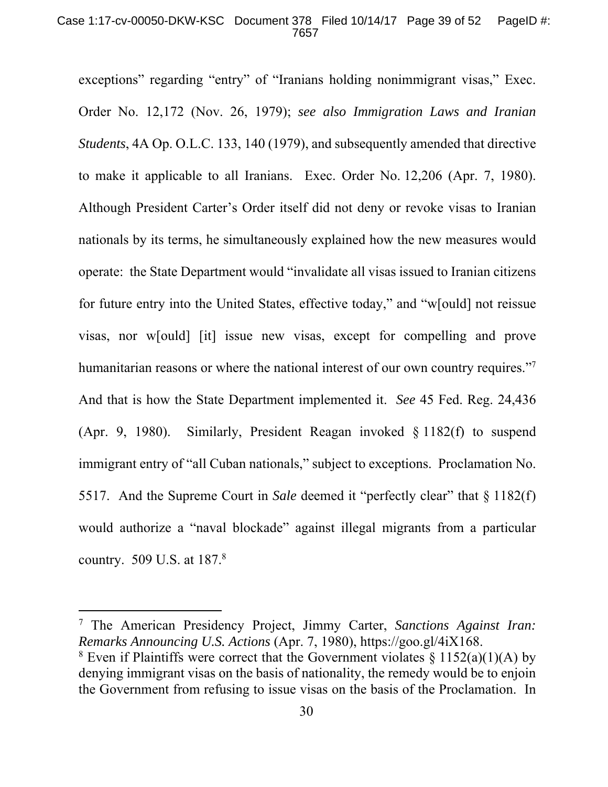### Case 1:17-cv-00050-DKW-KSC Document 378 Filed 10/14/17 Page 39 of 52 PageID #: 7657

exceptions" regarding "entry" of "Iranians holding nonimmigrant visas," Exec. Order No. 12,172 (Nov. 26, 1979); *see also Immigration Laws and Iranian Students*, 4A Op. O.L.C. 133, 140 (1979), and subsequently amended that directive to make it applicable to all Iranians. Exec. Order No. 12,206 (Apr. 7, 1980). Although President Carter's Order itself did not deny or revoke visas to Iranian nationals by its terms, he simultaneously explained how the new measures would operate: the State Department would "invalidate all visas issued to Iranian citizens for future entry into the United States, effective today," and "w[ould] not reissue visas, nor w[ould] [it] issue new visas, except for compelling and prove humanitarian reasons or where the national interest of our own country requires."<sup>7</sup> And that is how the State Department implemented it. *See* 45 Fed. Reg. 24,436 (Apr. 9, 1980). Similarly, President Reagan invoked § 1182(f) to suspend immigrant entry of "all Cuban nationals," subject to exceptions. Proclamation No. 5517. And the Supreme Court in *Sale* deemed it "perfectly clear" that § 1182(f) would authorize a "naval blockade" against illegal migrants from a particular country. 509 U.S. at 187.<sup>8</sup>

<sup>7</sup> The American Presidency Project, Jimmy Carter, *Sanctions Against Iran: Remarks Announcing U.S. Actions* (Apr. 7, 1980), https://goo.gl/4iX168.

<sup>&</sup>lt;sup>8</sup> Even if Plaintiffs were correct that the Government violates  $\S 1152(a)(1)(A)$  by denying immigrant visas on the basis of nationality, the remedy would be to enjoin the Government from refusing to issue visas on the basis of the Proclamation. In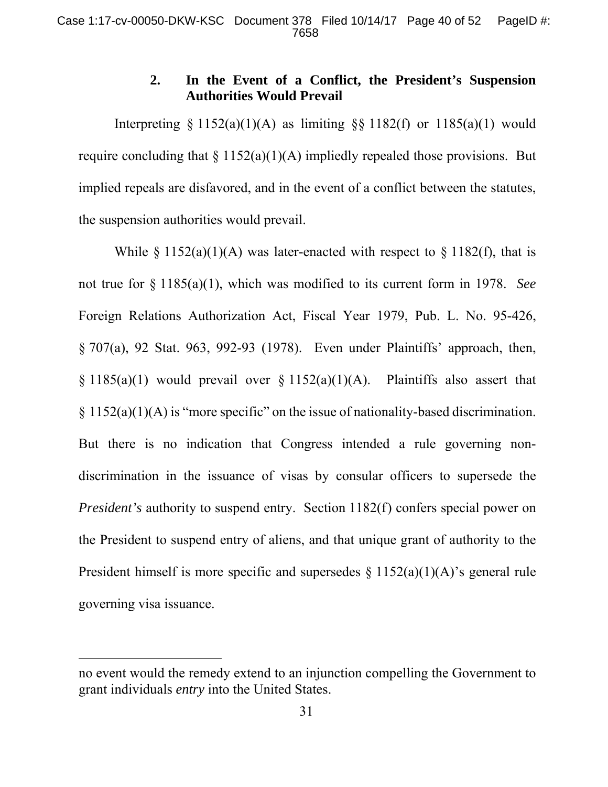# **2. In the Event of a Conflict, the President's Suspension Authorities Would Prevail**

Interpreting § 1152(a)(1)(A) as limiting §§ 1182(f) or 1185(a)(1) would require concluding that  $\S 1152(a)(1)(A)$  impliedly repealed those provisions. But implied repeals are disfavored, and in the event of a conflict between the statutes, the suspension authorities would prevail.

While  $\S 1152(a)(1)(A)$  was later-enacted with respect to  $\S 1182(f)$ , that is not true for § 1185(a)(1), which was modified to its current form in 1978. *See* Foreign Relations Authorization Act, Fiscal Year 1979, Pub. L. No. 95-426, § 707(a), 92 Stat. 963, 992-93 (1978). Even under Plaintiffs' approach, then,  $§ 1185(a)(1)$  would prevail over  $§ 1152(a)(1)(A)$ . Plaintiffs also assert that § 1152(a)(1)(A) is "more specific" on the issue of nationality-based discrimination. But there is no indication that Congress intended a rule governing nondiscrimination in the issuance of visas by consular officers to supersede the *President's* authority to suspend entry. Section 1182(f) confers special power on the President to suspend entry of aliens, and that unique grant of authority to the President himself is more specific and supersedes  $\S 1152(a)(1)(A)$ 's general rule governing visa issuance.

no event would the remedy extend to an injunction compelling the Government to grant individuals *entry* into the United States.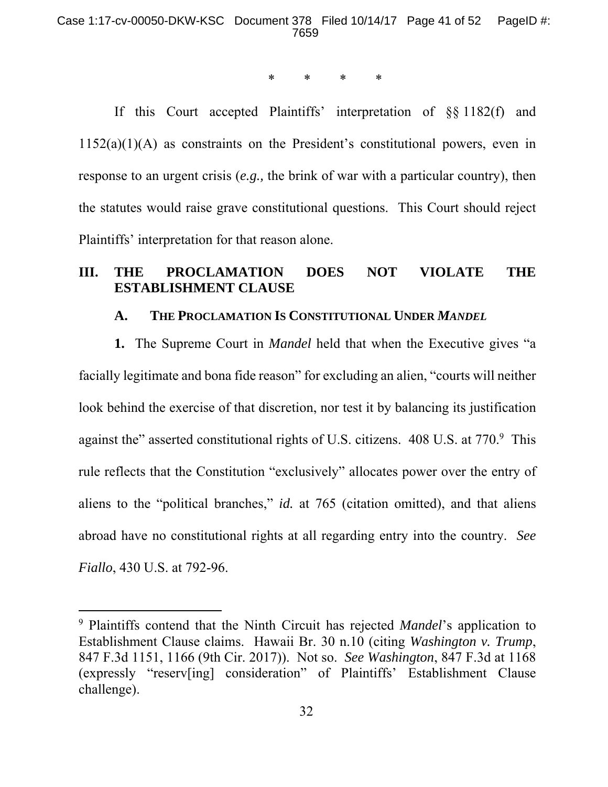\* \* \* \*

If this Court accepted Plaintiffs' interpretation of §§ 1182(f) and 1152(a)(1)(A) as constraints on the President's constitutional powers, even in response to an urgent crisis (*e.g.,* the brink of war with a particular country), then the statutes would raise grave constitutional questions. This Court should reject Plaintiffs' interpretation for that reason alone.

## **III. THE PROCLAMATION DOES NOT VIOLATE THE ESTABLISHMENT CLAUSE**

## **A. THE PROCLAMATION IS CONSTITUTIONAL UNDER** *MANDEL*

**1.** The Supreme Court in *Mandel* held that when the Executive gives "a facially legitimate and bona fide reason" for excluding an alien, "courts will neither look behind the exercise of that discretion, nor test it by balancing its justification against the" asserted constitutional rights of U.S. citizens. 408 U.S. at 770.<sup>9</sup> This rule reflects that the Constitution "exclusively" allocates power over the entry of aliens to the "political branches," *id.* at 765 (citation omitted), and that aliens abroad have no constitutional rights at all regarding entry into the country. *See Fiallo*, 430 U.S. at 792-96.

<sup>9</sup> Plaintiffs contend that the Ninth Circuit has rejected *Mandel*'s application to Establishment Clause claims. Hawaii Br. 30 n.10 (citing *Washington v. Trump*, 847 F.3d 1151, 1166 (9th Cir. 2017)). Not so. *See Washington*, 847 F.3d at 1168 (expressly "reserv[ing] consideration" of Plaintiffs' Establishment Clause challenge).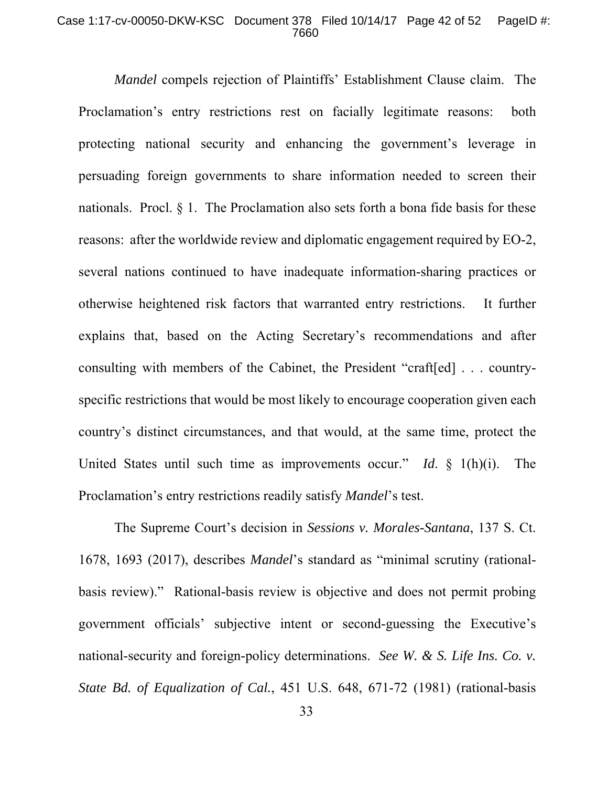#### Case 1:17-cv-00050-DKW-KSC Document 378 Filed 10/14/17 Page 42 of 52 PageID #: 7660

*Mandel* compels rejection of Plaintiffs' Establishment Clause claim. The Proclamation's entry restrictions rest on facially legitimate reasons: both protecting national security and enhancing the government's leverage in persuading foreign governments to share information needed to screen their nationals. Procl. § 1. The Proclamation also sets forth a bona fide basis for these reasons: after the worldwide review and diplomatic engagement required by EO-2, several nations continued to have inadequate information-sharing practices or otherwise heightened risk factors that warranted entry restrictions. It further explains that, based on the Acting Secretary's recommendations and after consulting with members of the Cabinet, the President "craft[ed] . . . countryspecific restrictions that would be most likely to encourage cooperation given each country's distinct circumstances, and that would, at the same time, protect the United States until such time as improvements occur." *Id*. § 1(h)(i). The Proclamation's entry restrictions readily satisfy *Mandel*'s test.

The Supreme Court's decision in *Sessions v. Morales-Santana*, 137 S. Ct. 1678, 1693 (2017), describes *Mandel*'s standard as "minimal scrutiny (rationalbasis review)." Rational-basis review is objective and does not permit probing government officials' subjective intent or second-guessing the Executive's national-security and foreign-policy determinations. *See W. & S. Life Ins. Co. v. State Bd. of Equalization of Cal.*, 451 U.S. 648, 671-72 (1981) (rational-basis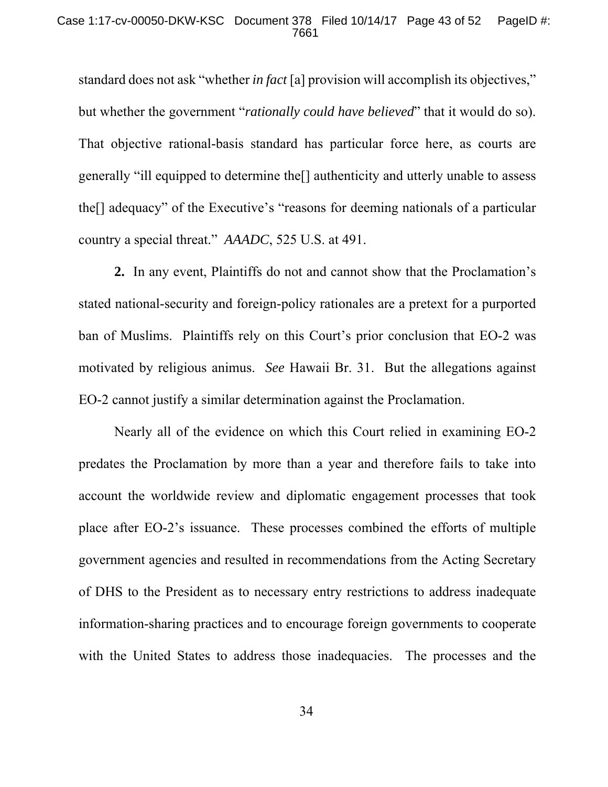standard does not ask "whether *in fact* [a] provision will accomplish its objectives," but whether the government "*rationally could have believed*" that it would do so). That objective rational-basis standard has particular force here, as courts are generally "ill equipped to determine the[] authenticity and utterly unable to assess the[] adequacy" of the Executive's "reasons for deeming nationals of a particular country a special threat." *AAADC*, 525 U.S. at 491.

**2.** In any event, Plaintiffs do not and cannot show that the Proclamation's stated national-security and foreign-policy rationales are a pretext for a purported ban of Muslims. Plaintiffs rely on this Court's prior conclusion that EO-2 was motivated by religious animus. *See* Hawaii Br. 31. But the allegations against EO-2 cannot justify a similar determination against the Proclamation.

Nearly all of the evidence on which this Court relied in examining EO-2 predates the Proclamation by more than a year and therefore fails to take into account the worldwide review and diplomatic engagement processes that took place after EO-2's issuance. These processes combined the efforts of multiple government agencies and resulted in recommendations from the Acting Secretary of DHS to the President as to necessary entry restrictions to address inadequate information-sharing practices and to encourage foreign governments to cooperate with the United States to address those inadequacies. The processes and the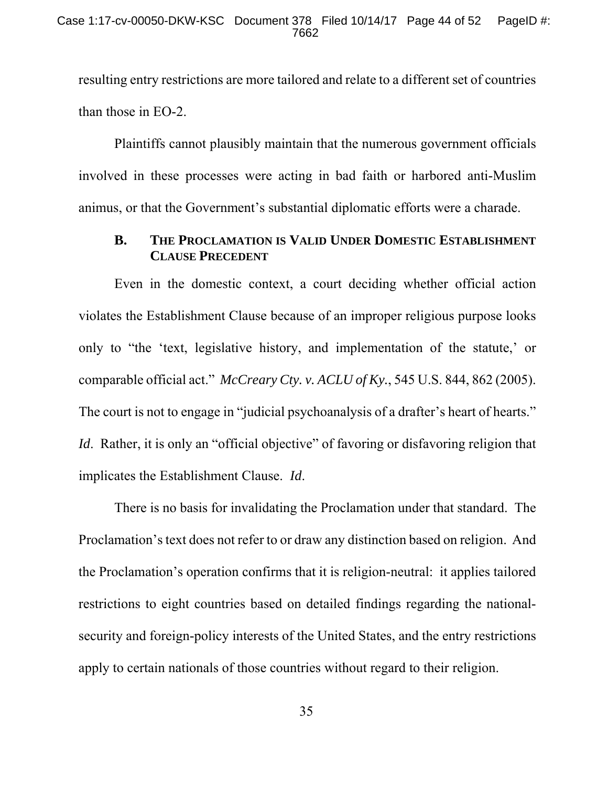resulting entry restrictions are more tailored and relate to a different set of countries than those in EO-2.

Plaintiffs cannot plausibly maintain that the numerous government officials involved in these processes were acting in bad faith or harbored anti-Muslim animus, or that the Government's substantial diplomatic efforts were a charade.

## **B. THE PROCLAMATION IS VALID UNDER DOMESTIC ESTABLISHMENT CLAUSE PRECEDENT**

Even in the domestic context, a court deciding whether official action violates the Establishment Clause because of an improper religious purpose looks only to "the 'text, legislative history, and implementation of the statute,' or comparable official act." *McCreary Cty. v. ACLU of Ky.*, 545 U.S. 844, 862 (2005). The court is not to engage in "judicial psychoanalysis of a drafter's heart of hearts." *Id.* Rather, it is only an "official objective" of favoring or disfavoring religion that implicates the Establishment Clause. *Id*.

There is no basis for invalidating the Proclamation under that standard. The Proclamation's text does not refer to or draw any distinction based on religion. And the Proclamation's operation confirms that it is religion-neutral: it applies tailored restrictions to eight countries based on detailed findings regarding the nationalsecurity and foreign-policy interests of the United States, and the entry restrictions apply to certain nationals of those countries without regard to their religion.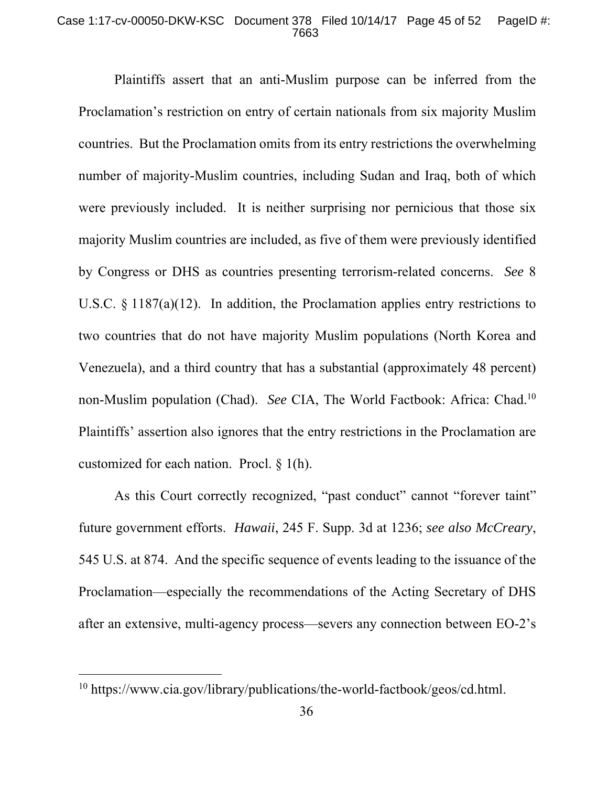### Case 1:17-cv-00050-DKW-KSC Document 378 Filed 10/14/17 Page 45 of 52 PageID #: 7663

Plaintiffs assert that an anti-Muslim purpose can be inferred from the Proclamation's restriction on entry of certain nationals from six majority Muslim countries. But the Proclamation omits from its entry restrictions the overwhelming number of majority-Muslim countries, including Sudan and Iraq, both of which were previously included. It is neither surprising nor pernicious that those six majority Muslim countries are included, as five of them were previously identified by Congress or DHS as countries presenting terrorism-related concerns. *See* 8 U.S.C. § 1187(a)(12). In addition, the Proclamation applies entry restrictions to two countries that do not have majority Muslim populations (North Korea and Venezuela), and a third country that has a substantial (approximately 48 percent) non-Muslim population (Chad). *See* CIA, The World Factbook: Africa: Chad.10 Plaintiffs' assertion also ignores that the entry restrictions in the Proclamation are customized for each nation. Procl. § 1(h).

As this Court correctly recognized, "past conduct" cannot "forever taint" future government efforts. *Hawaii*, 245 F. Supp. 3d at 1236; *see also McCreary*, 545 U.S. at 874. And the specific sequence of events leading to the issuance of the Proclamation—especially the recommendations of the Acting Secretary of DHS after an extensive, multi-agency process—severs any connection between EO-2's

<sup>10</sup> https://www.cia.gov/library/publications/the-world-factbook/geos/cd.html.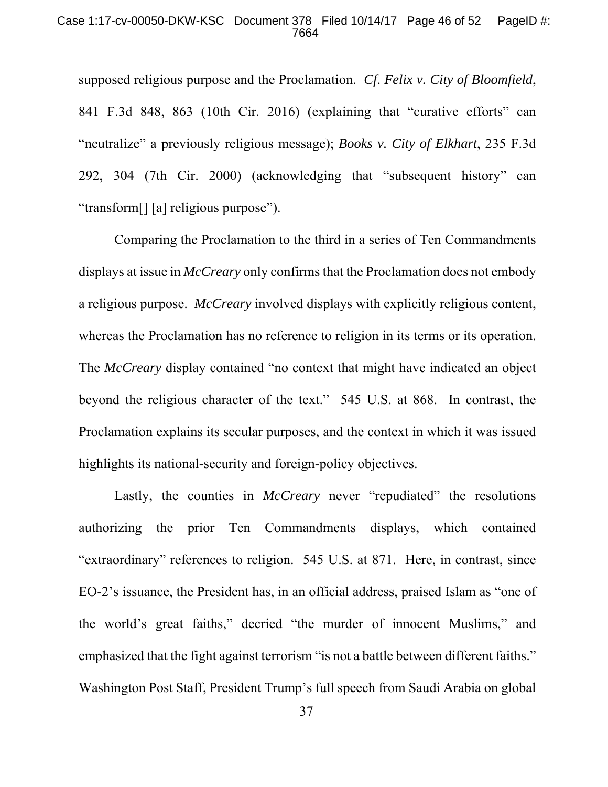### Case 1:17-cv-00050-DKW-KSC Document 378 Filed 10/14/17 Page 46 of 52 PageID #: 7664

supposed religious purpose and the Proclamation. *Cf*. *Felix v. City of Bloomfield*, 841 F.3d 848, 863 (10th Cir. 2016) (explaining that "curative efforts" can "neutralize" a previously religious message); *Books v. City of Elkhart*, 235 F.3d 292, 304 (7th Cir. 2000) (acknowledging that "subsequent history" can "transform[] [a] religious purpose").

Comparing the Proclamation to the third in a series of Ten Commandments displays at issue in *McCreary* only confirms that the Proclamation does not embody a religious purpose. *McCreary* involved displays with explicitly religious content, whereas the Proclamation has no reference to religion in its terms or its operation. The *McCreary* display contained "no context that might have indicated an object beyond the religious character of the text." 545 U.S. at 868. In contrast, the Proclamation explains its secular purposes, and the context in which it was issued highlights its national-security and foreign-policy objectives.

Lastly, the counties in *McCreary* never "repudiated" the resolutions authorizing the prior Ten Commandments displays, which contained "extraordinary" references to religion. 545 U.S. at 871. Here, in contrast, since EO-2's issuance, the President has, in an official address, praised Islam as "one of the world's great faiths," decried "the murder of innocent Muslims," and emphasized that the fight against terrorism "is not a battle between different faiths." Washington Post Staff, President Trump's full speech from Saudi Arabia on global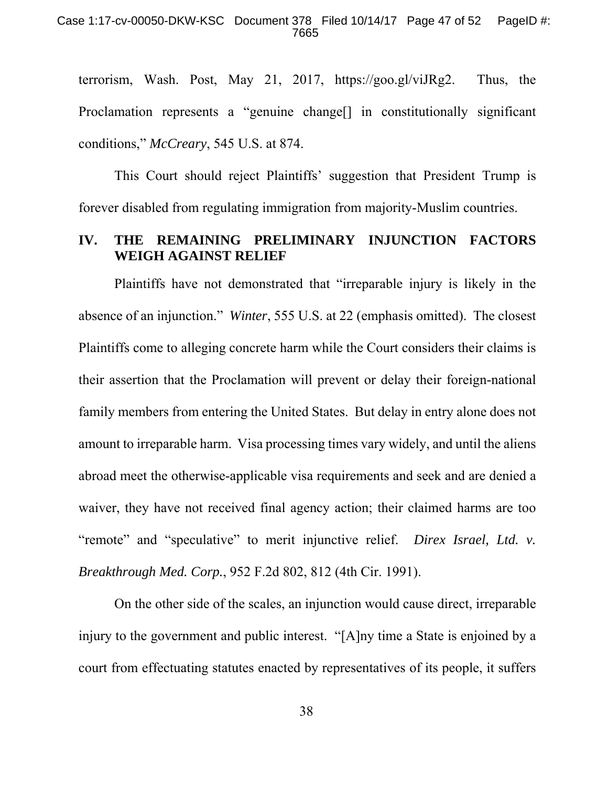terrorism, Wash. Post, May 21, 2017, https://goo.gl/viJRg2. Thus, the Proclamation represents a "genuine change[] in constitutionally significant conditions," *McCreary*, 545 U.S. at 874.

This Court should reject Plaintiffs' suggestion that President Trump is forever disabled from regulating immigration from majority-Muslim countries.

## **IV. THE REMAINING PRELIMINARY INJUNCTION FACTORS WEIGH AGAINST RELIEF**

Plaintiffs have not demonstrated that "irreparable injury is likely in the absence of an injunction." *Winter*, 555 U.S. at 22 (emphasis omitted). The closest Plaintiffs come to alleging concrete harm while the Court considers their claims is their assertion that the Proclamation will prevent or delay their foreign-national family members from entering the United States. But delay in entry alone does not amount to irreparable harm. Visa processing times vary widely, and until the aliens abroad meet the otherwise-applicable visa requirements and seek and are denied a waiver, they have not received final agency action; their claimed harms are too "remote" and "speculative" to merit injunctive relief. *Direx Israel, Ltd. v. Breakthrough Med. Corp.*, 952 F.2d 802, 812 (4th Cir. 1991).

On the other side of the scales, an injunction would cause direct, irreparable injury to the government and public interest. "[A]ny time a State is enjoined by a court from effectuating statutes enacted by representatives of its people, it suffers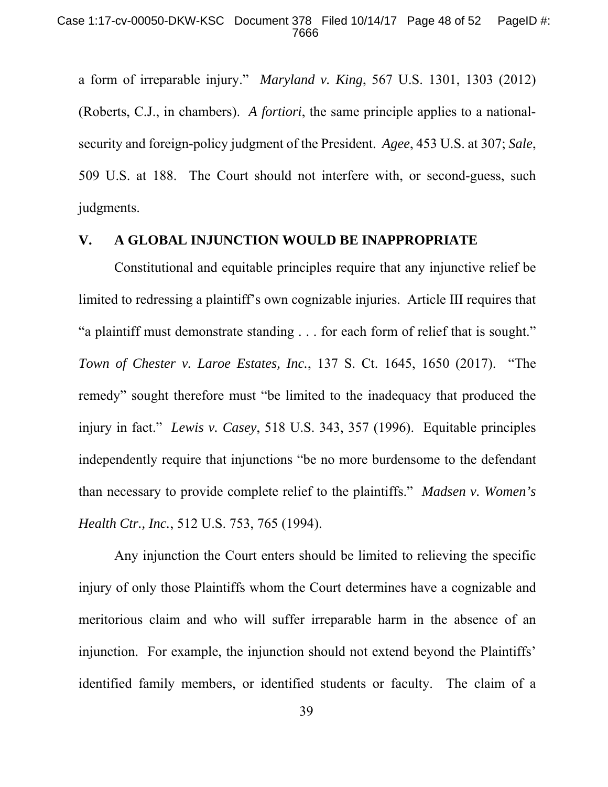a form of irreparable injury." *Maryland v. King*, 567 U.S. 1301, 1303 (2012) (Roberts, C.J., in chambers). *A fortiori*, the same principle applies to a nationalsecurity and foreign-policy judgment of the President. *Agee*, 453 U.S. at 307; *Sale*, 509 U.S. at 188. The Court should not interfere with, or second-guess, such judgments.

### **V. A GLOBAL INJUNCTION WOULD BE INAPPROPRIATE**

Constitutional and equitable principles require that any injunctive relief be limited to redressing a plaintiff's own cognizable injuries. Article III requires that "a plaintiff must demonstrate standing . . . for each form of relief that is sought." *Town of Chester v. Laroe Estates, Inc.*, 137 S. Ct. 1645, 1650 (2017). "The remedy" sought therefore must "be limited to the inadequacy that produced the injury in fact." *Lewis v. Casey*, 518 U.S. 343, 357 (1996). Equitable principles independently require that injunctions "be no more burdensome to the defendant than necessary to provide complete relief to the plaintiffs." *Madsen v. Women's Health Ctr., Inc.*, 512 U.S. 753, 765 (1994).

Any injunction the Court enters should be limited to relieving the specific injury of only those Plaintiffs whom the Court determines have a cognizable and meritorious claim and who will suffer irreparable harm in the absence of an injunction. For example, the injunction should not extend beyond the Plaintiffs' identified family members, or identified students or faculty. The claim of a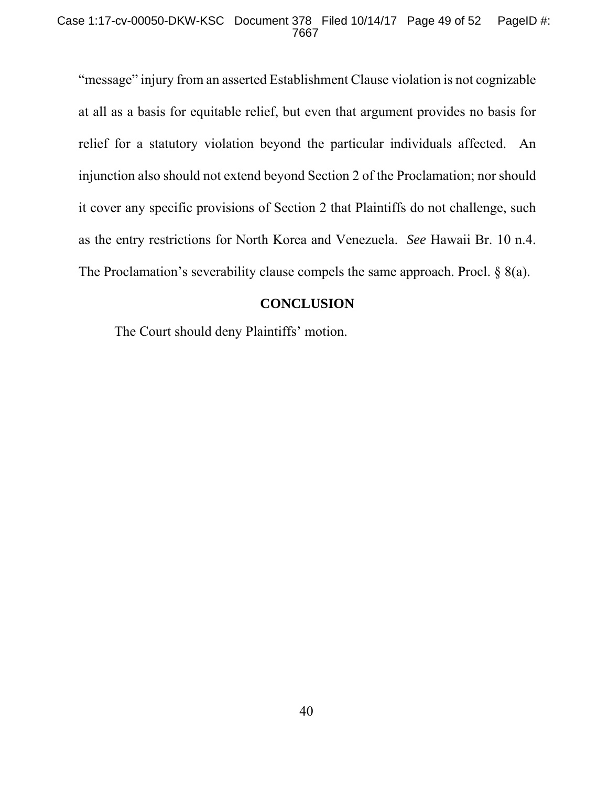"message" injury from an asserted Establishment Clause violation is not cognizable at all as a basis for equitable relief, but even that argument provides no basis for relief for a statutory violation beyond the particular individuals affected. An injunction also should not extend beyond Section 2 of the Proclamation; nor should it cover any specific provisions of Section 2 that Plaintiffs do not challenge, such as the entry restrictions for North Korea and Venezuela. *See* Hawaii Br. 10 n.4. The Proclamation's severability clause compels the same approach. Procl. § 8(a).

### **CONCLUSION**

The Court should deny Plaintiffs' motion.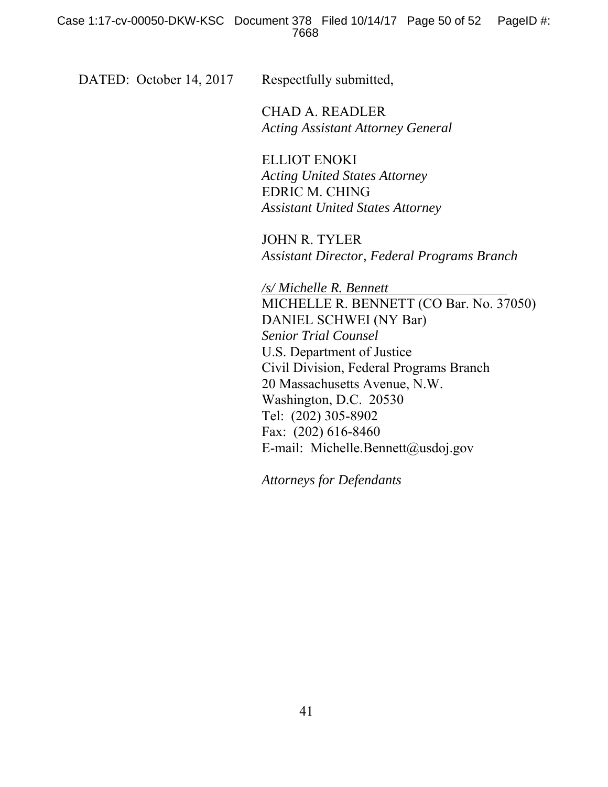DATED: October 14, 2017 Respectfully submitted,

 CHAD A. READLER *Acting Assistant Attorney General* 

 ELLIOT ENOKI *Acting United States Attorney*  EDRIC M. CHING *Assistant United States Attorney* 

JOHN R. TYLER *Assistant Director, Federal Programs Branch* 

*/s/ Michelle R. Bennett*  MICHELLE R. BENNETT (CO Bar. No. 37050) DANIEL SCHWEI (NY Bar) *Senior Trial Counsel*  U.S. Department of Justice Civil Division, Federal Programs Branch 20 Massachusetts Avenue, N.W. Washington, D.C. 20530 Tel: (202) 305-8902 Fax: (202) 616-8460 E-mail: Michelle.Bennett@usdoj.gov

*Attorneys for Defendants*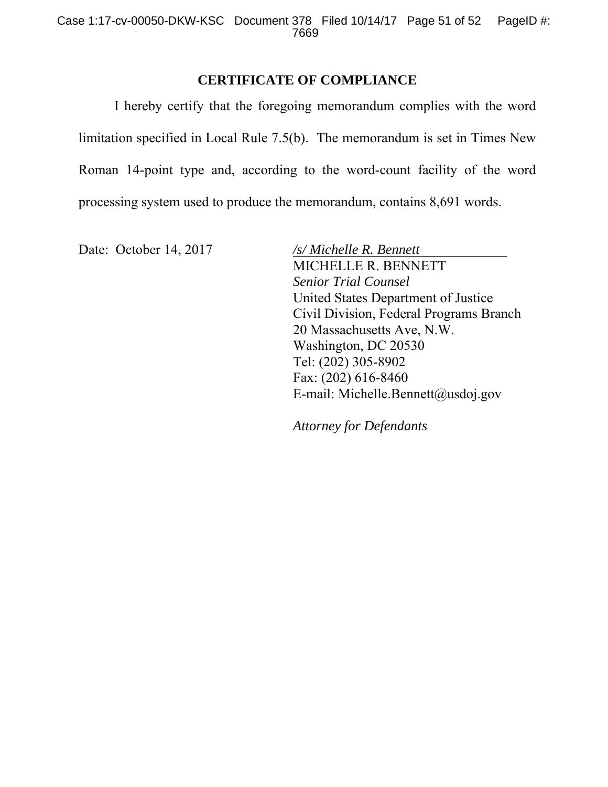## **CERTIFICATE OF COMPLIANCE**

 I hereby certify that the foregoing memorandum complies with the word limitation specified in Local Rule 7.5(b). The memorandum is set in Times New Roman 14-point type and, according to the word-count facility of the word processing system used to produce the memorandum, contains 8,691 words.

Date: October 14, 2017 /s/ *Michelle R. Bennett* 

MICHELLE R. BENNETT *Senior Trial Counsel*  United States Department of Justice Civil Division, Federal Programs Branch 20 Massachusetts Ave, N.W. Washington, DC 20530 Tel: (202) 305-8902 Fax: (202) 616-8460 E-mail: Michelle.Bennett@usdoj.gov

*Attorney for Defendants*